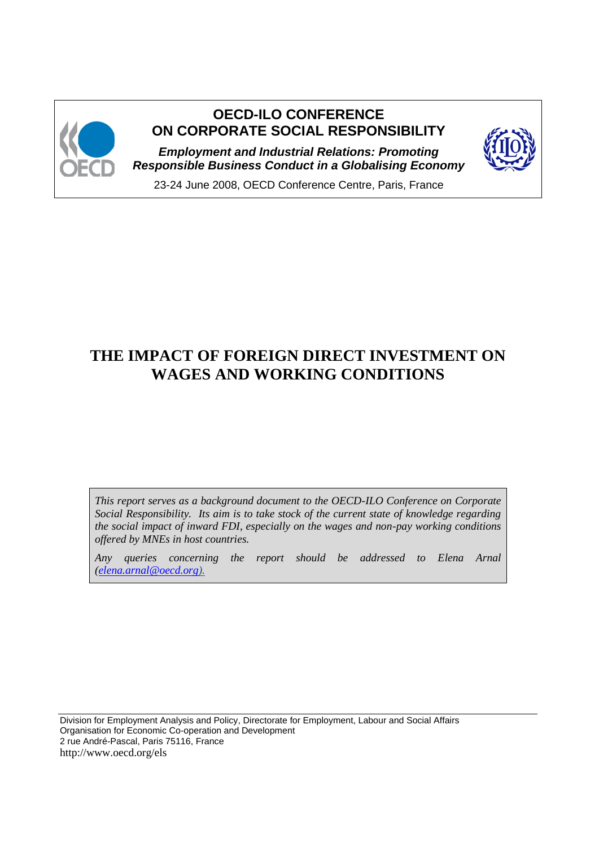

# **OECD-ILO CONFERENCE ON CORPORATE SOCIAL RESPONSIBILITY**

*Employment and Industrial Relations: Promoting Responsible Business Conduct in a Globalising Economy*



23-24 June 2008, OECD Conference Centre, Paris, France

# **THE IMPACT OF FOREIGN DIRECT INVESTMENT ON WAGES AND WORKING CONDITIONS**

*This report serves as a background document to the OECD-ILO Conference on Corporate Social Responsibility. Its aim is to take stock of the current state of knowledge regarding the social impact of inward FDI, especially on the wages and non-pay working conditions offered by MNEs in host countries.*

*Any queries concerning the report should be addressed to Elena Arnal [\(elena.arnal@oecd.org\)](mailto:elena.arnal@oecd.org).*

Division for Employment Analysis and Policy, Directorate for Employment, Labour and Social Affairs Organisation for Economic Co-operation and Development 2 rue André-Pascal, Paris 75116, France http://www.oecd.org/els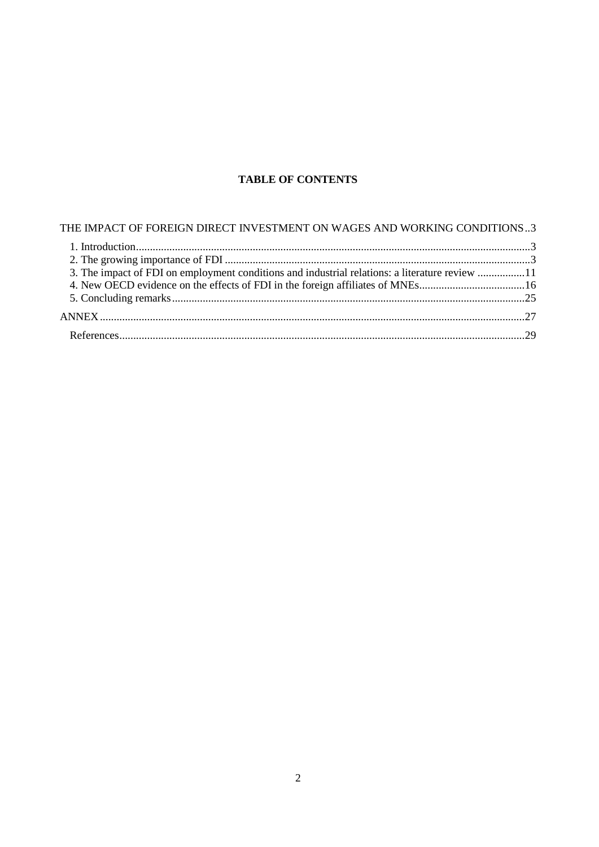# **TABLE OF CONTENTS**

| THE IMPACT OF FOREIGN DIRECT INVESTMENT ON WAGES AND WORKING CONDITIONS3                       |  |
|------------------------------------------------------------------------------------------------|--|
|                                                                                                |  |
|                                                                                                |  |
| 3. The impact of FDI on employment conditions and industrial relations: a literature review 11 |  |
| 4. New OECD evidence on the effects of FDI in the foreign affiliates of MNEs16                 |  |
|                                                                                                |  |
|                                                                                                |  |
|                                                                                                |  |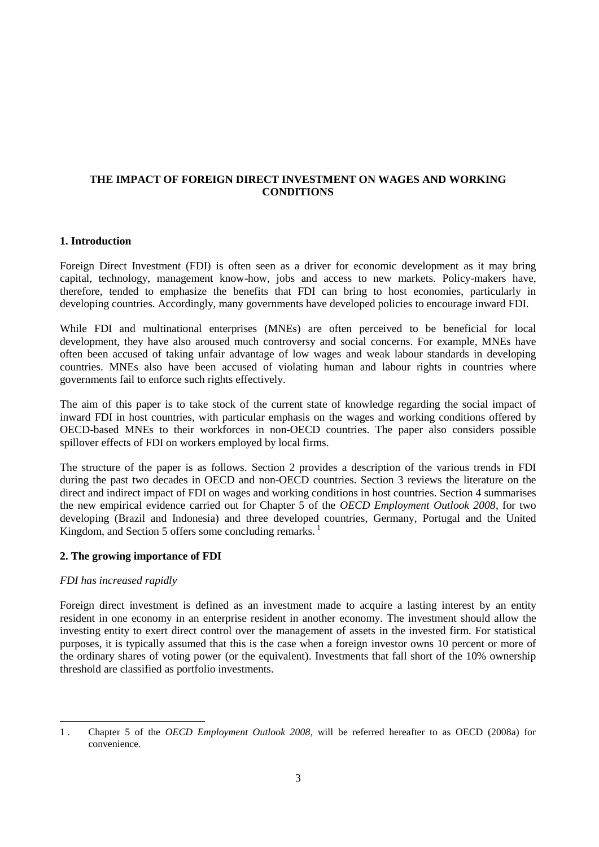# **THE IMPACT OF FOREIGN DIRECT INVESTMENT ON WAGES AND WORKING CONDITIONS**

#### **1. Introduction**

Foreign Direct Investment (FDI) is often seen as a driver for economic development as it may bring capital, technology, management know-how, jobs and access to new markets. Policy-makers have, therefore, tended to emphasize the benefits that FDI can bring to host economies, particularly in developing countries. Accordingly, many governments have developed policies to encourage inward FDI.

While FDI and multinational enterprises (MNEs) are often perceived to be beneficial for local development, they have also aroused much controversy and social concerns. For example, MNEs have often been accused of taking unfair advantage of low wages and weak labour standards in developing countries. MNEs also have been accused of violating human and labour rights in countries where governments fail to enforce such rights effectively.

The aim of this paper is to take stock of the current state of knowledge regarding the social impact of inward FDI in host countries, with particular emphasis on the wages and working conditions offered by OECD-based MNEs to their workforces in non-OECD countries. The paper also considers possible spillover effects of FDI on workers employed by local firms.

The structure of the paper is as follows. Section 2 provides a description of the various trends in FDI during the past two decades in OECD and non-OECD countries. Section 3 reviews the literature on the direct and indirect impact of FDI on wages and working conditions in host countries. Section 4 summarises the new empirical evidence carried out for Chapter 5 of the *OECD Employment Outlook 2008*, for two developing (Brazil and Indonesia) and three developed countries, Germany, Portugal and the United Kingdom, and Section 5 offers some concluding remarks.

# **2. The growing importance of FDI**

# *FDI has increased rapidly*

l

Foreign direct investment is defined as an investment made to acquire a lasting interest by an entity resident in one economy in an enterprise resident in another economy. The investment should allow the investing entity to exert direct control over the management of assets in the invested firm. For statistical purposes, it is typically assumed that this is the case when a foreign investor owns 10 percent or more of the ordinary shares of voting power (or the equivalent). Investments that fall short of the 10% ownership threshold are classified as portfolio investments.

<sup>1</sup> . Chapter 5 of the *OECD Employment Outlook 2008*, will be referred hereafter to as OECD (2008a) for convenience.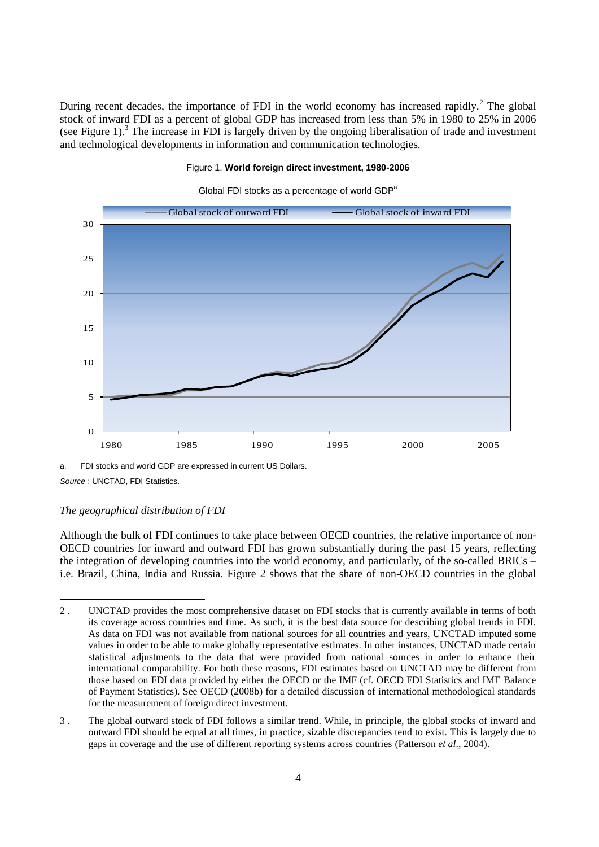During recent decades, the importance of FDI in the world economy has increased rapidly.<sup>2</sup> The global stock of inward FDI as a percent of global GDP has increased from less than 5% in 1980 to 25% in 2006 (see Figure 1). <sup>3</sup> The increase in FDI is largely driven by the ongoing liberalisation of trade and investment and technological developments in information and communication technologies.

#### Figure 1. **World foreign direct investment, 1980-2006**

30 Global stock of outward FDI Global stock of inward FDI 30<br>25 30 25<br>20 25 20<br>15 20 15<br>10 1.5 10 5  $\Omega$ 1980 1985 1990 1995 2000 2005

Global FDI stocks as a percentage of world GDP<sup>a</sup>

a. FDI stocks and world GDP are expressed in current US Dollars. *Source* : UNCTAD, FDI Statistics.

#### *The geographical distribution of FDI*

l

Although the bulk of FDI continues to take place between OECD countries, the relative importance of non-OECD countries for inward and outward FDI has grown substantially during the past 15 years, reflecting the integration of developing countries into the world economy, and particularly, of the so-called BRICs – i.e. Brazil, China, India and Russia. Figure 2 shows that the share of non-OECD countries in the global

<sup>2</sup> . UNCTAD provides the most comprehensive dataset on FDI stocks that is currently available in terms of both its coverage across countries and time. As such, it is the best data source for describing global trends in FDI. As data on FDI was not available from national sources for all countries and years, UNCTAD imputed some values in order to be able to make globally representative estimates. In other instances, UNCTAD made certain statistical adjustments to the data that were provided from national sources in order to enhance their international comparability. For both these reasons, FDI estimates based on UNCTAD may be different from those based on FDI data provided by either the OECD or the IMF (cf. OECD FDI Statistics and IMF Balance of Payment Statistics). See OECD (2008b) for a detailed discussion of international methodological standards for the measurement of foreign direct investment.

<sup>3</sup> . The global outward stock of FDI follows a similar trend. While, in principle, the global stocks of inward and outward FDI should be equal at all times, in practice, sizable discrepancies tend to exist. This is largely due to gaps in coverage and the use of different reporting systems across countries (Patterson *et al*., 2004).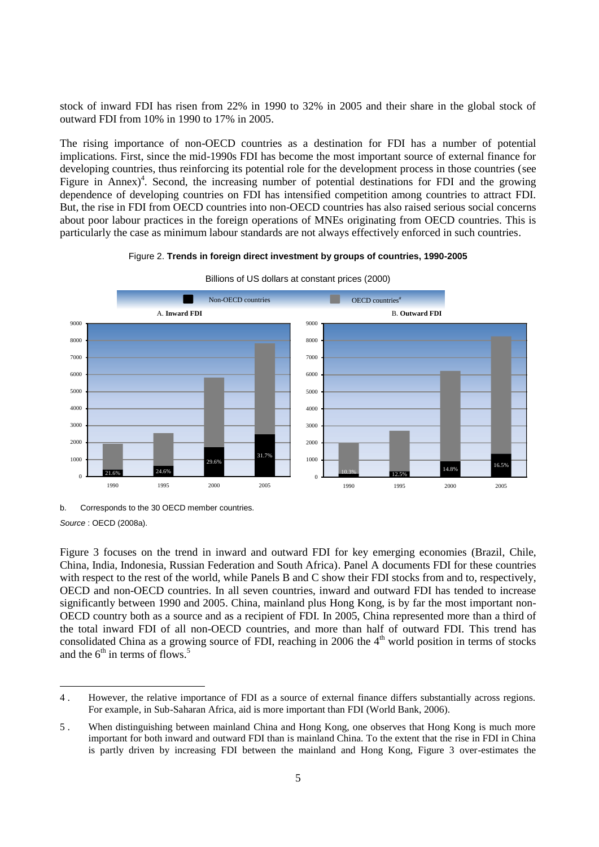stock of inward FDI has risen from 22% in 1990 to 32% in 2005 and their share in the global stock of outward FDI from 10% in 1990 to 17% in 2005.

The rising importance of non-OECD countries as a destination for FDI has a number of potential implications. First, since the mid-1990s FDI has become the most important source of external finance for developing countries, thus reinforcing its potential role for the development process in those countries (see Figure in Annex)<sup>4</sup>. Second, the increasing number of potential destinations for FDI and the growing dependence of developing countries on FDI has intensified competition among countries to attract FDI. But, the rise in FDI from OECD countries into non-OECD countries has also raised serious social concerns about poor labour practices in the foreign operations of MNEs originating from OECD countries. This is particularly the case as minimum labour standards are not always effectively enforced in such countries.





Billions of US dollars at constant prices (2000)

 $\overline{a}$ 

Figure 3 focuses on the trend in inward and outward FDI for key emerging economies (Brazil, Chile, China, India, Indonesia, Russian Federation and South Africa). Panel A documents FDI for these countries with respect to the rest of the world, while Panels B and C show their FDI stocks from and to, respectively, OECD and non-OECD countries. In all seven countries, inward and outward FDI has tended to increase significantly between 1990 and 2005. China, mainland plus Hong Kong, is by far the most important non-OECD country both as a source and as a recipient of FDI. In 2005, China represented more than a third of the total inward FDI of all non-OECD countries, and more than half of outward FDI. This trend has consolidated China as a growing source of FDI, reaching in 2006 the  $4<sup>th</sup>$  world position in terms of stocks and the  $6<sup>th</sup>$  in terms of flows.<sup>5</sup>

b. Corresponds to the 30 OECD member countries. *Source* : OECD (2008a).

<sup>4</sup> . However, the relative importance of FDI as a source of external finance differs substantially across regions. For example, in Sub-Saharan Africa, aid is more important than FDI (World Bank, 2006).

<sup>5</sup> . When distinguishing between mainland China and Hong Kong, one observes that Hong Kong is much more important for both inward and outward FDI than is mainland China. To the extent that the rise in FDI in China is partly driven by increasing FDI between the mainland and Hong Kong, Figure 3 over-estimates the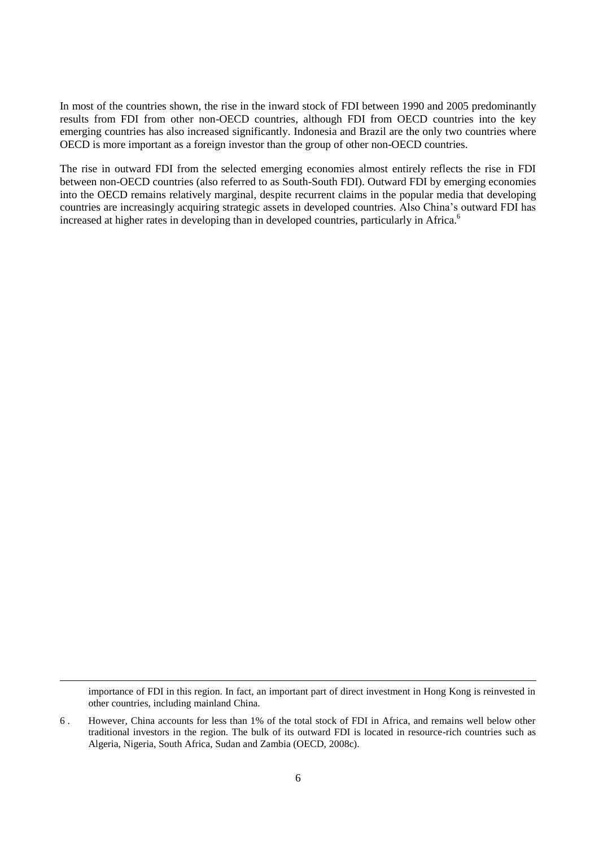In most of the countries shown, the rise in the inward stock of FDI between 1990 and 2005 predominantly results from FDI from other non-OECD countries, although FDI from OECD countries into the key emerging countries has also increased significantly. Indonesia and Brazil are the only two countries where OECD is more important as a foreign investor than the group of other non-OECD countries.

The rise in outward FDI from the selected emerging economies almost entirely reflects the rise in FDI between non-OECD countries (also referred to as South-South FDI). Outward FDI by emerging economies into the OECD remains relatively marginal, despite recurrent claims in the popular media that developing countries are increasingly acquiring strategic assets in developed countries. Also China"s outward FDI has increased at higher rates in developing than in developed countries, particularly in Africa.<sup>6</sup>

importance of FDI in this region. In fact, an important part of direct investment in Hong Kong is reinvested in other countries, including mainland China.

 $\overline{a}$ 

<sup>6</sup> . However, China accounts for less than 1% of the total stock of FDI in Africa, and remains well below other traditional investors in the region. The bulk of its outward FDI is located in resource-rich countries such as Algeria, Nigeria, South Africa, Sudan and Zambia (OECD, 2008c).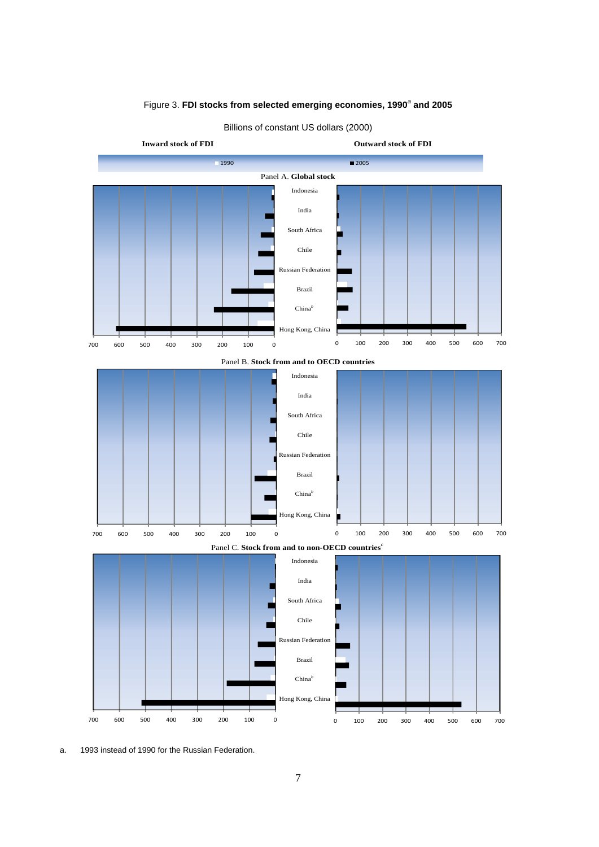#### Figure 3. **FDI stocks from selected emerging economies, 1990***<sup>a</sup>* **and 2005**



Billions of constant US dollars (2000)

a. 1993 instead of 1990 for the Russian Federation.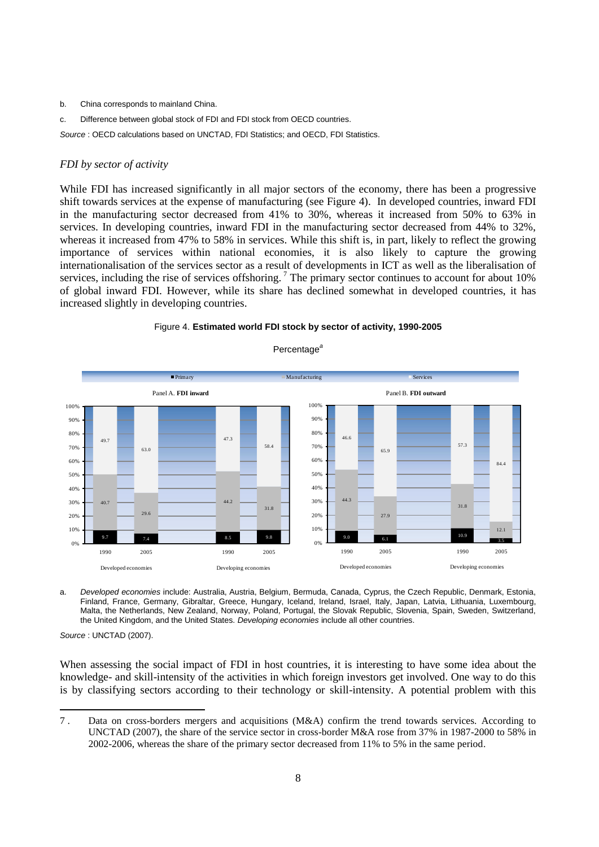- b. China corresponds to mainland China.
- c. Difference between global stock of FDI and FDI stock from OECD countries.

*Source* : OECD calculations based on UNCTAD, FDI Statistics; and OECD, FDI Statistics.

#### *FDI by sector of activity*

While FDI has increased significantly in all major sectors of the economy, there has been a progressive shift towards services at the expense of manufacturing (see Figure 4). In developed countries, inward FDI in the manufacturing sector decreased from 41% to 30%, whereas it increased from 50% to 63% in services. In developing countries, inward FDI in the manufacturing sector decreased from 44% to 32%, whereas it increased from 47% to 58% in services. While this shift is, in part, likely to reflect the growing importance of services within national economies, it is also likely to capture the growing internationalisation of the services sector as a result of developments in ICT as well as the liberalisation of services, including the rise of services offshoring.<sup>7</sup> The primary sector continues to account for about 10% of global inward FDI. However, while its share has declined somewhat in developed countries, it has increased slightly in developing countries.



Figure 4. **Estimated world FDI stock by sector of activity, 1990-2005**



a. *Developed economies* include: Australia, Austria, Belgium, Bermuda, Canada, Cyprus, the Czech Republic, Denmark, Estonia, Finland, France, Germany, Gibraltar, Greece, Hungary, Iceland, Ireland, Israel, Italy, Japan, Latvia, Lithuania, Luxembourg, Malta, the Netherlands, New Zealand, Norway, Poland, Portugal, the Slovak Republic, Slovenia, Spain, Sweden, Switzerland, the United Kingdom, and the United States. *Developing economies* include all other countries.

*Source* : UNCTAD (2007).

l

When assessing the social impact of FDI in host countries, it is interesting to have some idea about the knowledge- and skill-intensity of the activities in which foreign investors get involved. One way to do this is by classifying sectors according to their technology or skill-intensity. A potential problem with this

<sup>7</sup> . Data on cross-borders mergers and acquisitions (M&A) confirm the trend towards services. According to UNCTAD (2007), the share of the service sector in cross-border M&A rose from 37% in 1987-2000 to 58% in 2002-2006, whereas the share of the primary sector decreased from 11% to 5% in the same period.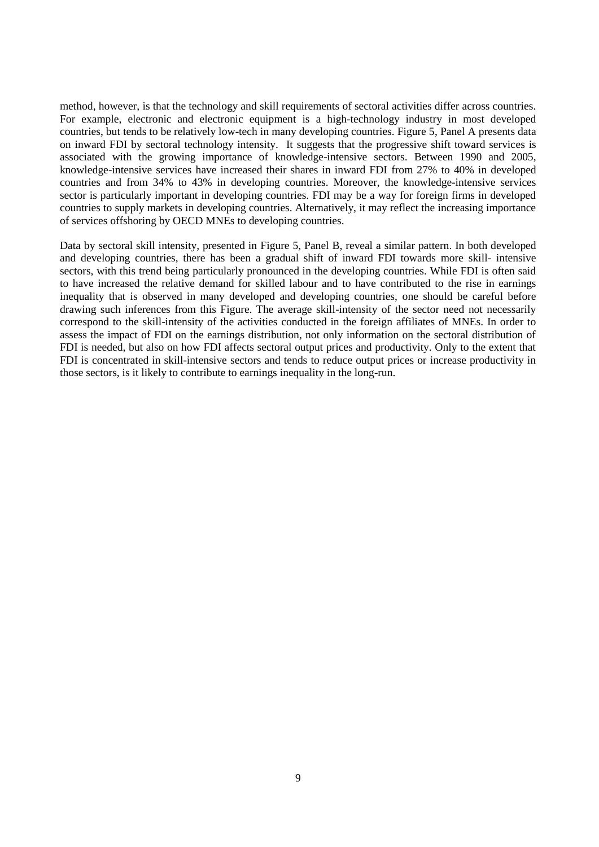method, however, is that the technology and skill requirements of sectoral activities differ across countries. For example, electronic and electronic equipment is a high-technology industry in most developed countries, but tends to be relatively low-tech in many developing countries. Figure 5, Panel A presents data on inward FDI by sectoral technology intensity. It suggests that the progressive shift toward services is associated with the growing importance of knowledge-intensive sectors. Between 1990 and 2005, knowledge-intensive services have increased their shares in inward FDI from 27% to 40% in developed countries and from 34% to 43% in developing countries. Moreover, the knowledge-intensive services sector is particularly important in developing countries. FDI may be a way for foreign firms in developed countries to supply markets in developing countries. Alternatively, it may reflect the increasing importance of services offshoring by OECD MNEs to developing countries.

Data by sectoral skill intensity, presented in Figure 5, Panel B, reveal a similar pattern. In both developed and developing countries, there has been a gradual shift of inward FDI towards more skill- intensive sectors, with this trend being particularly pronounced in the developing countries. While FDI is often said to have increased the relative demand for skilled labour and to have contributed to the rise in earnings inequality that is observed in many developed and developing countries, one should be careful before drawing such inferences from this Figure. The average skill-intensity of the sector need not necessarily correspond to the skill-intensity of the activities conducted in the foreign affiliates of MNEs. In order to assess the impact of FDI on the earnings distribution, not only information on the sectoral distribution of FDI is needed, but also on how FDI affects sectoral output prices and productivity. Only to the extent that FDI is concentrated in skill-intensive sectors and tends to reduce output prices or increase productivity in those sectors, is it likely to contribute to earnings inequality in the long-run.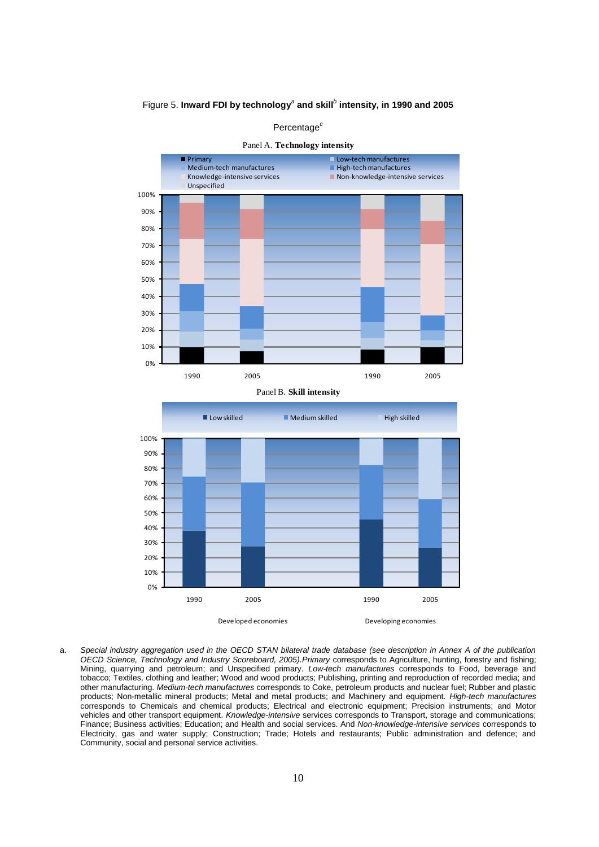

#### Figure 5. **Inward FDI by technology***<sup>a</sup>* **and skill***<sup>b</sup>* **intensity, in 1990 and 2005**

Percentage*<sup>c</sup>*

Panel B. **Skill intensity**



a. *Special industry aggregation used in the OECD STAN bilateral trade database (see description in Annex A of the publication OECD Science, Technology and Industry Scoreboard, 2005).Primary* corresponds to Agriculture, hunting, forestry and fishing; Mining, quarrying and petroleum; and Unspecified primary. *Low-tech manufactures* corresponds to Food, beverage and tobacco; Textiles, clothing and leather; Wood and wood products; Publishing, printing and reproduction of recorded media; and other manufacturing. *Medium-tech manufactures* corresponds to Coke, petroleum products and nuclear fuel; Rubber and plastic products; Non-metallic mineral products; Metal and metal products; and Machinery and equipment. *High-tech manufactures* corresponds to Chemicals and chemical products; Electrical and electronic equipment; Precision instruments; and Motor vehicles and other transport equipment. *Knowledge-intensive* services corresponds to Transport, storage and communications; Finance; Business activities; Education; and Health and social services. And *Non-knowledge-intensive services* corresponds to Electricity, gas and water supply; Construction; Trade; Hotels and restaurants; Public administration and defence; and Community, social and personal service activities.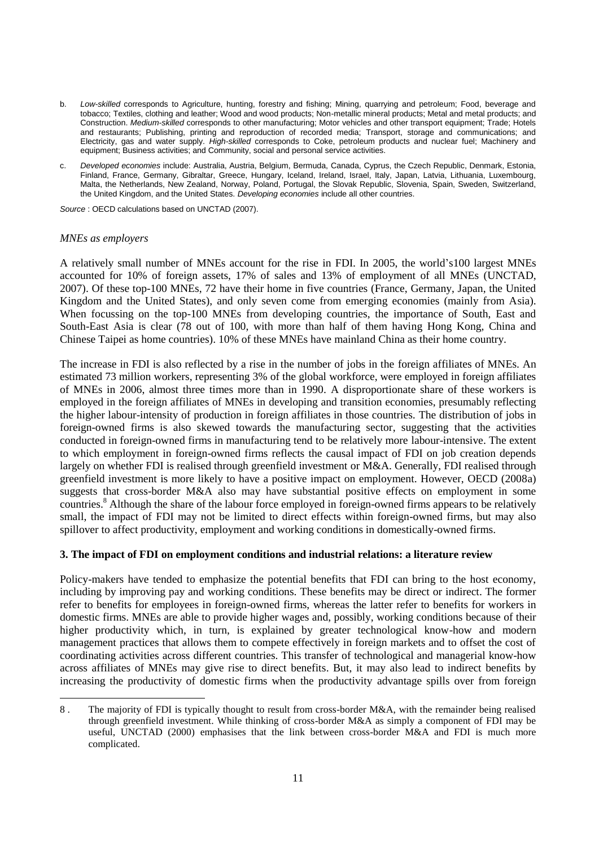- b. *Low-skilled* corresponds to Agriculture, hunting, forestry and fishing; Mining, quarrying and petroleum; Food, beverage and tobacco; Textiles, clothing and leather; Wood and wood products; Non-metallic mineral products; Metal and metal products; and Construction. *Medium-skilled* corresponds to other manufacturing; Motor vehicles and other transport equipment; Trade; Hotels and restaurants; Publishing, printing and reproduction of recorded media; Transport, storage and communications; and Electricity, gas and water supply. *High-skilled* corresponds to Coke, petroleum products and nuclear fuel; Machinery and equipment; Business activities; and Community, social and personal service activities.
- c. *Developed economies* include: Australia, Austria, Belgium, Bermuda, Canada, Cyprus, the Czech Republic, Denmark, Estonia, Finland, France, Germany, Gibraltar, Greece, Hungary, Iceland, Ireland, Israel, Italy, Japan, Latvia, Lithuania, Luxembourg, Malta, the Netherlands, New Zealand, Norway, Poland, Portugal, the Slovak Republic, Slovenia, Spain, Sweden, Switzerland, the United Kingdom, and the United States. *Developing economies* include all other countries.

*Source* : OECD calculations based on UNCTAD (2007).

#### *MNEs as employers*

 $\overline{a}$ 

A relatively small number of MNEs account for the rise in FDI. In 2005, the world"s100 largest MNEs accounted for 10% of foreign assets, 17% of sales and 13% of employment of all MNEs (UNCTAD, 2007). Of these top-100 MNEs, 72 have their home in five countries (France, Germany, Japan, the United Kingdom and the United States), and only seven come from emerging economies (mainly from Asia). When focussing on the top-100 MNEs from developing countries, the importance of South, East and South-East Asia is clear (78 out of 100, with more than half of them having Hong Kong, China and Chinese Taipei as home countries). 10% of these MNEs have mainland China as their home country.

The increase in FDI is also reflected by a rise in the number of jobs in the foreign affiliates of MNEs. An estimated 73 million workers, representing 3% of the global workforce, were employed in foreign affiliates of MNEs in 2006, almost three times more than in 1990. A disproportionate share of these workers is employed in the foreign affiliates of MNEs in developing and transition economies, presumably reflecting the higher labour-intensity of production in foreign affiliates in those countries. The distribution of jobs in foreign-owned firms is also skewed towards the manufacturing sector, suggesting that the activities conducted in foreign-owned firms in manufacturing tend to be relatively more labour-intensive. The extent to which employment in foreign-owned firms reflects the causal impact of FDI on job creation depends largely on whether FDI is realised through greenfield investment or M&A. Generally, FDI realised through greenfield investment is more likely to have a positive impact on employment. However, OECD (2008a) suggests that cross-border M&A also may have substantial positive effects on employment in some countries.<sup>8</sup> Although the share of the labour force employed in foreign-owned firms appears to be relatively small, the impact of FDI may not be limited to direct effects within foreign-owned firms, but may also spillover to affect productivity, employment and working conditions in domestically-owned firms.

#### **3. The impact of FDI on employment conditions and industrial relations: a literature review**

Policy-makers have tended to emphasize the potential benefits that FDI can bring to the host economy, including by improving pay and working conditions. These benefits may be direct or indirect. The former refer to benefits for employees in foreign-owned firms, whereas the latter refer to benefits for workers in domestic firms. MNEs are able to provide higher wages and, possibly, working conditions because of their higher productivity which, in turn, is explained by greater technological know-how and modern management practices that allows them to compete effectively in foreign markets and to offset the cost of coordinating activities across different countries. This transfer of technological and managerial know-how across affiliates of MNEs may give rise to direct benefits. But, it may also lead to indirect benefits by increasing the productivity of domestic firms when the productivity advantage spills over from foreign

<sup>8</sup> . The majority of FDI is typically thought to result from cross-border M&A, with the remainder being realised through greenfield investment. While thinking of cross-border M&A as simply a component of FDI may be useful, UNCTAD (2000) emphasises that the link between cross-border M&A and FDI is much more complicated.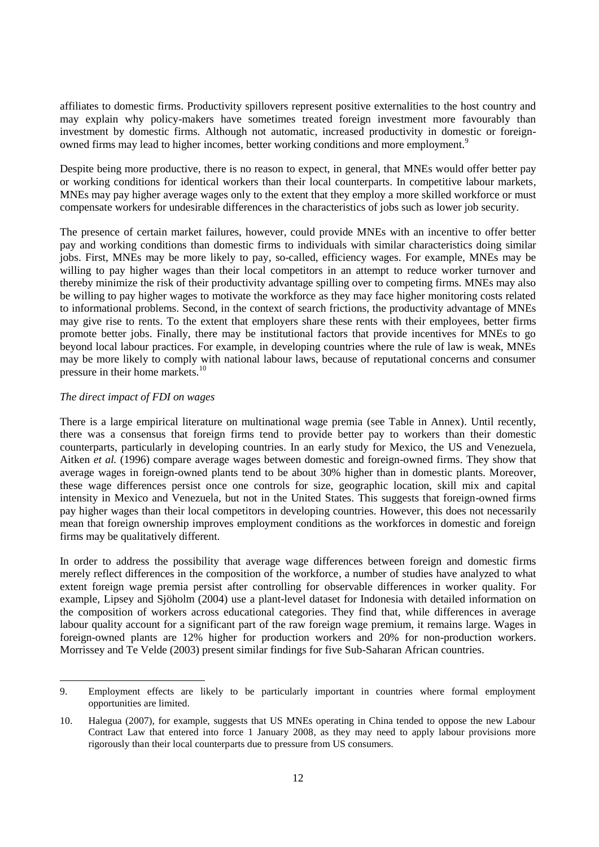affiliates to domestic firms. Productivity spillovers represent positive externalities to the host country and may explain why policy-makers have sometimes treated foreign investment more favourably than investment by domestic firms. Although not automatic, increased productivity in domestic or foreignowned firms may lead to higher incomes, better working conditions and more employment.<sup>9</sup>

Despite being more productive, there is no reason to expect, in general, that MNEs would offer better pay or working conditions for identical workers than their local counterparts. In competitive labour markets, MNEs may pay higher average wages only to the extent that they employ a more skilled workforce or must compensate workers for undesirable differences in the characteristics of jobs such as lower job security.

The presence of certain market failures, however, could provide MNEs with an incentive to offer better pay and working conditions than domestic firms to individuals with similar characteristics doing similar jobs. First, MNEs may be more likely to pay, so-called, efficiency wages. For example, MNEs may be willing to pay higher wages than their local competitors in an attempt to reduce worker turnover and thereby minimize the risk of their productivity advantage spilling over to competing firms. MNEs may also be willing to pay higher wages to motivate the workforce as they may face higher monitoring costs related to informational problems. Second, in the context of search frictions, the productivity advantage of MNEs may give rise to rents. To the extent that employers share these rents with their employees, better firms promote better jobs. Finally, there may be institutional factors that provide incentives for MNEs to go beyond local labour practices. For example, in developing countries where the rule of law is weak, MNEs may be more likely to comply with national labour laws, because of reputational concerns and consumer pressure in their home markets.<sup>10</sup>

#### *The direct impact of FDI on wages*

 $\overline{a}$ 

There is a large empirical literature on multinational wage premia (see Table in Annex). Until recently, there was a consensus that foreign firms tend to provide better pay to workers than their domestic counterparts, particularly in developing countries. In an early study for Mexico, the US and Venezuela, Aitken *et al.* (1996) compare average wages between domestic and foreign-owned firms. They show that average wages in foreign-owned plants tend to be about 30% higher than in domestic plants. Moreover, these wage differences persist once one controls for size, geographic location, skill mix and capital intensity in Mexico and Venezuela, but not in the United States. This suggests that foreign-owned firms pay higher wages than their local competitors in developing countries. However, this does not necessarily mean that foreign ownership improves employment conditions as the workforces in domestic and foreign firms may be qualitatively different.

In order to address the possibility that average wage differences between foreign and domestic firms merely reflect differences in the composition of the workforce, a number of studies have analyzed to what extent foreign wage premia persist after controlling for observable differences in worker quality. For example, Lipsey and Sjöholm (2004) use a plant-level dataset for Indonesia with detailed information on the composition of workers across educational categories. They find that, while differences in average labour quality account for a significant part of the raw foreign wage premium, it remains large. Wages in foreign-owned plants are 12% higher for production workers and 20% for non-production workers. Morrissey and Te Velde (2003) present similar findings for five Sub-Saharan African countries.

<sup>9.</sup> Employment effects are likely to be particularly important in countries where formal employment opportunities are limited.

<sup>10.</sup> Halegua (2007), for example, suggests that US MNEs operating in China tended to oppose the new Labour Contract Law that entered into force 1 January 2008, as they may need to apply labour provisions more rigorously than their local counterparts due to pressure from US consumers.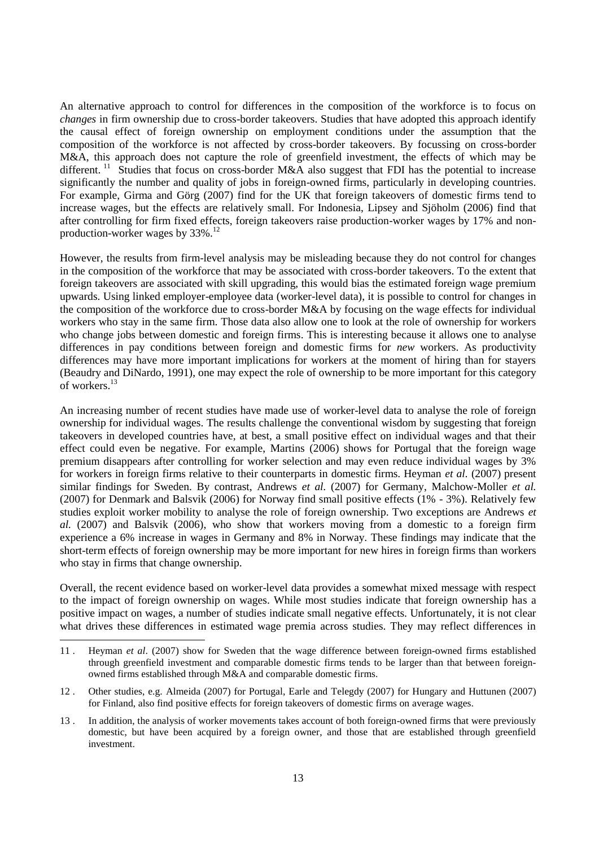An alternative approach to control for differences in the composition of the workforce is to focus on *changes* in firm ownership due to cross-border takeovers. Studies that have adopted this approach identify the causal effect of foreign ownership on employment conditions under the assumption that the composition of the workforce is not affected by cross-border takeovers. By focussing on cross-border M&A, this approach does not capture the role of greenfield investment, the effects of which may be different.<sup>11</sup> Studies that focus on cross-border M&A also suggest that FDI has the potential to increase significantly the number and quality of jobs in foreign-owned firms, particularly in developing countries. For example, Girma and Görg (2007) find for the UK that foreign takeovers of domestic firms tend to increase wages, but the effects are relatively small. For Indonesia, Lipsey and Sjöholm (2006) find that after controlling for firm fixed effects, foreign takeovers raise production-worker wages by 17% and nonproduction-worker wages by 33%.<sup>12</sup>

However, the results from firm-level analysis may be misleading because they do not control for changes in the composition of the workforce that may be associated with cross-border takeovers. To the extent that foreign takeovers are associated with skill upgrading, this would bias the estimated foreign wage premium upwards. Using linked employer-employee data (worker-level data), it is possible to control for changes in the composition of the workforce due to cross-border M&A by focusing on the wage effects for individual workers who stay in the same firm. Those data also allow one to look at the role of ownership for workers who change jobs between domestic and foreign firms. This is interesting because it allows one to analyse differences in pay conditions between foreign and domestic firms for *new* workers. As productivity differences may have more important implications for workers at the moment of hiring than for stayers (Beaudry and DiNardo, 1991), one may expect the role of ownership to be more important for this category of workers.<sup>13</sup>

An increasing number of recent studies have made use of worker-level data to analyse the role of foreign ownership for individual wages. The results challenge the conventional wisdom by suggesting that foreign takeovers in developed countries have, at best, a small positive effect on individual wages and that their effect could even be negative. For example, Martins (2006) shows for Portugal that the foreign wage premium disappears after controlling for worker selection and may even reduce individual wages by 3% for workers in foreign firms relative to their counterparts in domestic firms. Heyman *et al.* (2007) present similar findings for Sweden. By contrast, Andrews *et al.* (2007) for Germany, Malchow-Moller *et al.* (2007) for Denmark and Balsvik (2006) for Norway find small positive effects (1% - 3%). Relatively few studies exploit worker mobility to analyse the role of foreign ownership. Two exceptions are Andrews *et al.* (2007) and Balsvik (2006), who show that workers moving from a domestic to a foreign firm experience a 6% increase in wages in Germany and 8% in Norway. These findings may indicate that the short-term effects of foreign ownership may be more important for new hires in foreign firms than workers who stay in firms that change ownership.

Overall, the recent evidence based on worker-level data provides a somewhat mixed message with respect to the impact of foreign ownership on wages. While most studies indicate that foreign ownership has a positive impact on wages, a number of studies indicate small negative effects. Unfortunately, it is not clear what drives these differences in estimated wage premia across studies. They may reflect differences in

l

<sup>11</sup> . Heyman *et al*. (2007) show for Sweden that the wage difference between foreign-owned firms established through greenfield investment and comparable domestic firms tends to be larger than that between foreignowned firms established through M&A and comparable domestic firms.

<sup>12</sup> . Other studies, e.g. Almeida (2007) for Portugal, Earle and Telegdy (2007) for Hungary and Huttunen (2007) for Finland, also find positive effects for foreign takeovers of domestic firms on average wages.

<sup>13</sup> . In addition, the analysis of worker movements takes account of both foreign-owned firms that were previously domestic, but have been acquired by a foreign owner, and those that are established through greenfield investment.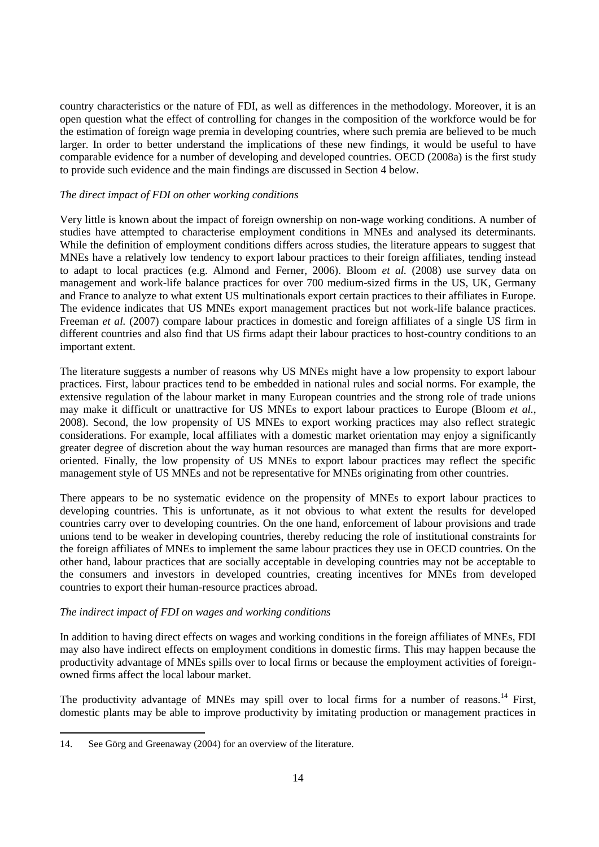country characteristics or the nature of FDI, as well as differences in the methodology. Moreover, it is an open question what the effect of controlling for changes in the composition of the workforce would be for the estimation of foreign wage premia in developing countries, where such premia are believed to be much larger. In order to better understand the implications of these new findings, it would be useful to have comparable evidence for a number of developing and developed countries. OECD (2008a) is the first study to provide such evidence and the main findings are discussed in Section 4 below.

#### *The direct impact of FDI on other working conditions*

Very little is known about the impact of foreign ownership on non-wage working conditions. A number of studies have attempted to characterise employment conditions in MNEs and analysed its determinants. While the definition of employment conditions differs across studies, the literature appears to suggest that MNEs have a relatively low tendency to export labour practices to their foreign affiliates, tending instead to adapt to local practices (e.g. Almond and Ferner, 2006). Bloom *et al.* (2008) use survey data on management and work-life balance practices for over 700 medium-sized firms in the US, UK, Germany and France to analyze to what extent US multinationals export certain practices to their affiliates in Europe. The evidence indicates that US MNEs export management practices but not work-life balance practices. Freeman *et al.* (2007) compare labour practices in domestic and foreign affiliates of a single US firm in different countries and also find that US firms adapt their labour practices to host-country conditions to an important extent.

The literature suggests a number of reasons why US MNEs might have a low propensity to export labour practices. First, labour practices tend to be embedded in national rules and social norms. For example, the extensive regulation of the labour market in many European countries and the strong role of trade unions may make it difficult or unattractive for US MNEs to export labour practices to Europe (Bloom *et al.*, 2008). Second, the low propensity of US MNEs to export working practices may also reflect strategic considerations. For example, local affiliates with a domestic market orientation may enjoy a significantly greater degree of discretion about the way human resources are managed than firms that are more exportoriented. Finally, the low propensity of US MNEs to export labour practices may reflect the specific management style of US MNEs and not be representative for MNEs originating from other countries.

There appears to be no systematic evidence on the propensity of MNEs to export labour practices to developing countries. This is unfortunate, as it not obvious to what extent the results for developed countries carry over to developing countries. On the one hand, enforcement of labour provisions and trade unions tend to be weaker in developing countries, thereby reducing the role of institutional constraints for the foreign affiliates of MNEs to implement the same labour practices they use in OECD countries. On the other hand, labour practices that are socially acceptable in developing countries may not be acceptable to the consumers and investors in developed countries, creating incentives for MNEs from developed countries to export their human-resource practices abroad.

#### *The indirect impact of FDI on wages and working conditions*

In addition to having direct effects on wages and working conditions in the foreign affiliates of MNEs, FDI may also have indirect effects on employment conditions in domestic firms. This may happen because the productivity advantage of MNEs spills over to local firms or because the employment activities of foreignowned firms affect the local labour market.

The productivity advantage of MNEs may spill over to local firms for a number of reasons.<sup>14</sup> First, domestic plants may be able to improve productivity by imitating production or management practices in

 $\overline{a}$ 

<sup>14.</sup> See Görg and Greenaway (2004) for an overview of the literature.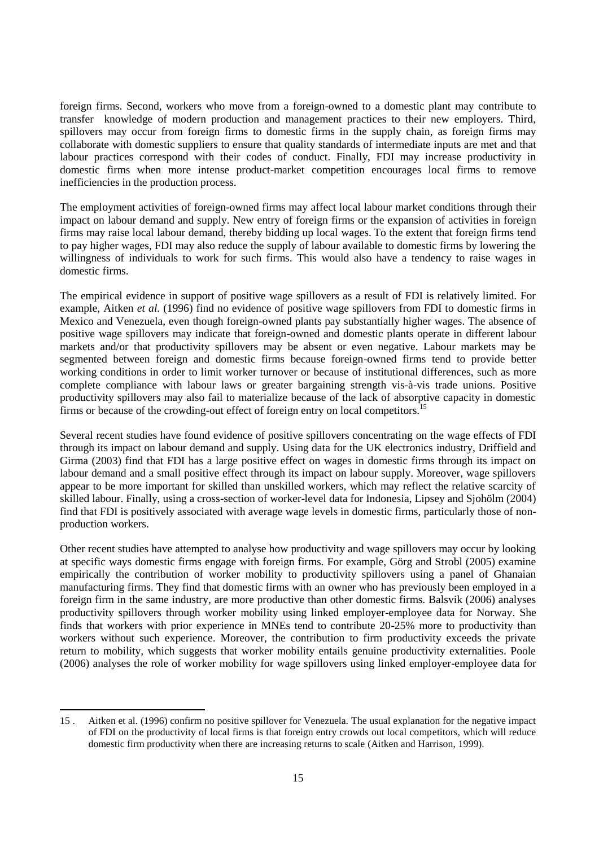foreign firms. Second, workers who move from a foreign-owned to a domestic plant may contribute to transfer knowledge of modern production and management practices to their new employers. Third, spillovers may occur from foreign firms to domestic firms in the supply chain, as foreign firms may collaborate with domestic suppliers to ensure that quality standards of intermediate inputs are met and that labour practices correspond with their codes of conduct. Finally, FDI may increase productivity in domestic firms when more intense product-market competition encourages local firms to remove inefficiencies in the production process.

The employment activities of foreign-owned firms may affect local labour market conditions through their impact on labour demand and supply. New entry of foreign firms or the expansion of activities in foreign firms may raise local labour demand, thereby bidding up local wages. To the extent that foreign firms tend to pay higher wages, FDI may also reduce the supply of labour available to domestic firms by lowering the willingness of individuals to work for such firms. This would also have a tendency to raise wages in domestic firms.

The empirical evidence in support of positive wage spillovers as a result of FDI is relatively limited. For example, Aitken *et al.* (1996) find no evidence of positive wage spillovers from FDI to domestic firms in Mexico and Venezuela, even though foreign-owned plants pay substantially higher wages. The absence of positive wage spillovers may indicate that foreign-owned and domestic plants operate in different labour markets and/or that productivity spillovers may be absent or even negative. Labour markets may be segmented between foreign and domestic firms because foreign-owned firms tend to provide better working conditions in order to limit worker turnover or because of institutional differences, such as more complete compliance with labour laws or greater bargaining strength vis-à-vis trade unions. Positive productivity spillovers may also fail to materialize because of the lack of absorptive capacity in domestic firms or because of the crowding-out effect of foreign entry on local competitors.<sup>15</sup>

Several recent studies have found evidence of positive spillovers concentrating on the wage effects of FDI through its impact on labour demand and supply. Using data for the UK electronics industry, Driffield and Girma (2003) find that FDI has a large positive effect on wages in domestic firms through its impact on labour demand and a small positive effect through its impact on labour supply. Moreover, wage spillovers appear to be more important for skilled than unskilled workers, which may reflect the relative scarcity of skilled labour. Finally, using a cross-section of worker-level data for Indonesia, Lipsey and Sjohölm (2004) find that FDI is positively associated with average wage levels in domestic firms, particularly those of nonproduction workers.

Other recent studies have attempted to analyse how productivity and wage spillovers may occur by looking at specific ways domestic firms engage with foreign firms. For example, Görg and Strobl (2005) examine empirically the contribution of worker mobility to productivity spillovers using a panel of Ghanaian manufacturing firms. They find that domestic firms with an owner who has previously been employed in a foreign firm in the same industry, are more productive than other domestic firms. Balsvik (2006) analyses productivity spillovers through worker mobility using linked employer-employee data for Norway. She finds that workers with prior experience in MNEs tend to contribute 20-25% more to productivity than workers without such experience. Moreover, the contribution to firm productivity exceeds the private return to mobility, which suggests that worker mobility entails genuine productivity externalities. Poole (2006) analyses the role of worker mobility for wage spillovers using linked employer-employee data for

l

<sup>15</sup> . Aitken et al. (1996) confirm no positive spillover for Venezuela. The usual explanation for the negative impact of FDI on the productivity of local firms is that foreign entry crowds out local competitors, which will reduce domestic firm productivity when there are increasing returns to scale (Aitken and Harrison, 1999).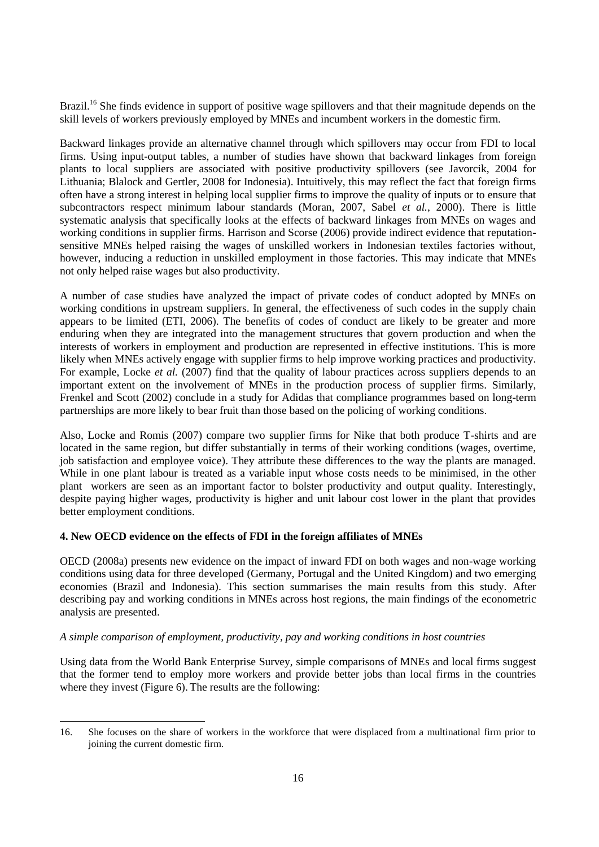Brazil.<sup>16</sup> She finds evidence in support of positive wage spillovers and that their magnitude depends on the skill levels of workers previously employed by MNEs and incumbent workers in the domestic firm.

Backward linkages provide an alternative channel through which spillovers may occur from FDI to local firms. Using input-output tables, a number of studies have shown that backward linkages from foreign plants to local suppliers are associated with positive productivity spillovers (see Javorcik, 2004 for Lithuania; Blalock and Gertler, 2008 for Indonesia). Intuitively, this may reflect the fact that foreign firms often have a strong interest in helping local supplier firms to improve the quality of inputs or to ensure that subcontractors respect minimum labour standards (Moran, 2007, Sabel *et al.*, 2000). There is little systematic analysis that specifically looks at the effects of backward linkages from MNEs on wages and working conditions in supplier firms. Harrison and Scorse (2006) provide indirect evidence that reputationsensitive MNEs helped raising the wages of unskilled workers in Indonesian textiles factories without, however, inducing a reduction in unskilled employment in those factories. This may indicate that MNEs not only helped raise wages but also productivity.

A number of case studies have analyzed the impact of private codes of conduct adopted by MNEs on working conditions in upstream suppliers. In general, the effectiveness of such codes in the supply chain appears to be limited (ETI, 2006). The benefits of codes of conduct are likely to be greater and more enduring when they are integrated into the management structures that govern production and when the interests of workers in employment and production are represented in effective institutions. This is more likely when MNEs actively engage with supplier firms to help improve working practices and productivity. For example, Locke *et al.* (2007) find that the quality of labour practices across suppliers depends to an important extent on the involvement of MNEs in the production process of supplier firms. Similarly, Frenkel and Scott (2002) conclude in a study for Adidas that compliance programmes based on long-term partnerships are more likely to bear fruit than those based on the policing of working conditions.

Also, Locke and Romis (2007) compare two supplier firms for Nike that both produce T-shirts and are located in the same region, but differ substantially in terms of their working conditions (wages, overtime, job satisfaction and employee voice). They attribute these differences to the way the plants are managed. While in one plant labour is treated as a variable input whose costs needs to be minimised, in the other plant workers are seen as an important factor to bolster productivity and output quality. Interestingly, despite paying higher wages, productivity is higher and unit labour cost lower in the plant that provides better employment conditions.

# **4. New OECD evidence on the effects of FDI in the foreign affiliates of MNEs**

l

OECD (2008a) presents new evidence on the impact of inward FDI on both wages and non-wage working conditions using data for three developed (Germany, Portugal and the United Kingdom) and two emerging economies (Brazil and Indonesia). This section summarises the main results from this study. After describing pay and working conditions in MNEs across host regions, the main findings of the econometric analysis are presented.

#### *A simple comparison of employment, productivity, pay and working conditions in host countries*

Using data from the World Bank Enterprise Survey, simple comparisons of MNEs and local firms suggest that the former tend to employ more workers and provide better jobs than local firms in the countries where they invest (Figure 6). The results are the following:

<sup>16.</sup> She focuses on the share of workers in the workforce that were displaced from a multinational firm prior to joining the current domestic firm.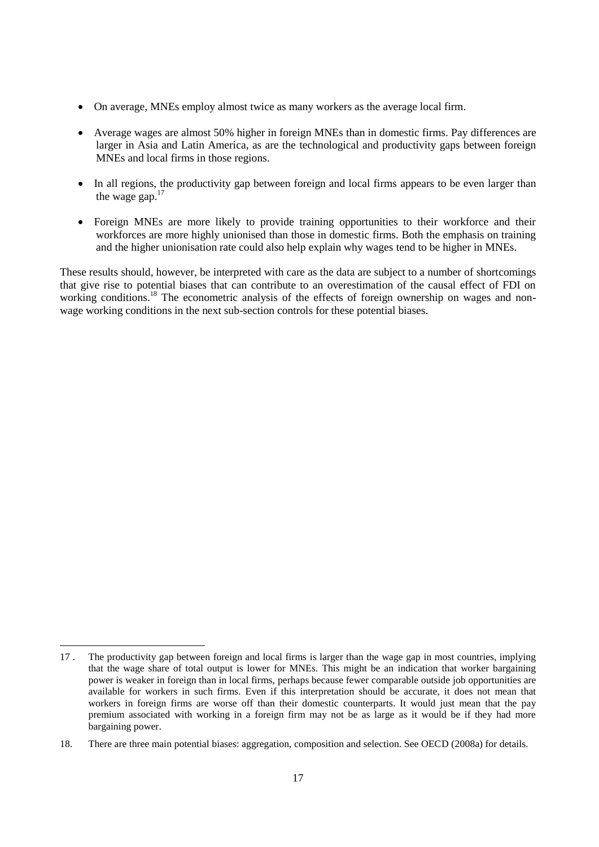- On average, MNEs employ almost twice as many workers as the average local firm.
- Average wages are almost 50% higher in foreign MNEs than in domestic firms. Pay differences are larger in Asia and Latin America, as are the technological and productivity gaps between foreign MNEs and local firms in those regions.
- In all regions, the productivity gap between foreign and local firms appears to be even larger than the wage gap. $17$
- Foreign MNEs are more likely to provide training opportunities to their workforce and their workforces are more highly unionised than those in domestic firms. Both the emphasis on training and the higher unionisation rate could also help explain why wages tend to be higher in MNEs.

These results should, however, be interpreted with care as the data are subject to a number of shortcomings that give rise to potential biases that can contribute to an overestimation of the causal effect of FDI on working conditions.<sup>18</sup> The econometric analysis of the effects of foreign ownership on wages and nonwage working conditions in the next sub-section controls for these potential biases.

l

<sup>17</sup> . The productivity gap between foreign and local firms is larger than the wage gap in most countries, implying that the wage share of total output is lower for MNEs. This might be an indication that worker bargaining power is weaker in foreign than in local firms, perhaps because fewer comparable outside job opportunities are available for workers in such firms. Even if this interpretation should be accurate, it does not mean that workers in foreign firms are worse off than their domestic counterparts. It would just mean that the pay premium associated with working in a foreign firm may not be as large as it would be if they had more bargaining power.

<sup>18.</sup> There are three main potential biases: aggregation, composition and selection. See OECD (2008a) for details.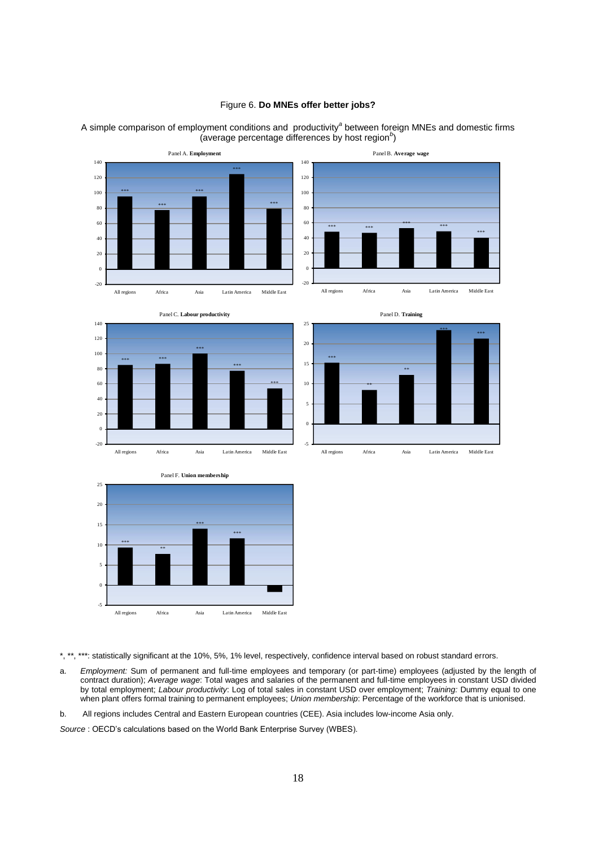#### Figure 6. **Do MNEs offer better jobs?**



A simple comparison of employment conditions and productivity<sup>a</sup> between foreign MNEs and domestic firms (average percentage differences by host region<sup>b</sup>)

\*, \*\*, \*\*\*: statistically significant at the 10%, 5%, 1% level, respectively, confidence interval based on robust standard errors.

a. *Employment:* Sum of permanent and full-time employees and temporary (or part-time) employees (adjusted by the length of contract duration); *Average wage*: Total wages and salaries of the permanent and full-time employees in constant USD divided by total employment; *Labour productivity*: Log of total sales in constant USD over employment; *Training:* Dummy equal to one when plant offers formal training to permanent employees; *Union membership*: Percentage of the workforce that is unionised.

b. All regions includes Central and Eastern European countries (CEE). Asia includes low-income Asia only.

*Source* : OECD's calculations based on the World Bank Enterprise Survey (WBES).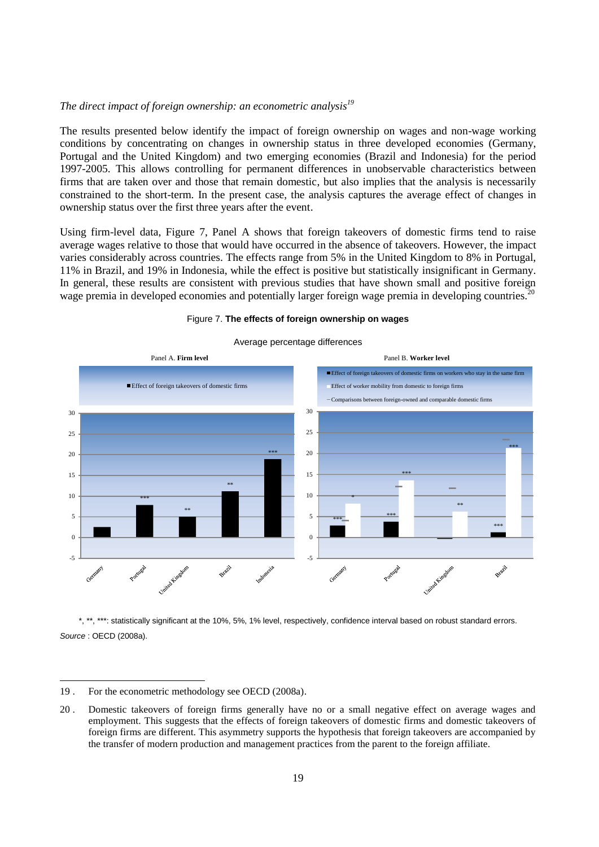# *The direct impact of foreign ownership: an econometric analysis<sup>19</sup>*

The results presented below identify the impact of foreign ownership on wages and non-wage working conditions by concentrating on changes in ownership status in three developed economies (Germany, Portugal and the United Kingdom) and two emerging economies (Brazil and Indonesia) for the period 1997-2005. This allows controlling for permanent differences in unobservable characteristics between firms that are taken over and those that remain domestic, but also implies that the analysis is necessarily constrained to the short-term. In the present case, the analysis captures the average effect of changes in ownership status over the first three years after the event.

Using firm-level data, Figure 7, Panel A shows that foreign takeovers of domestic firms tend to raise average wages relative to those that would have occurred in the absence of takeovers. However, the impact varies considerably across countries. The effects range from 5% in the United Kingdom to 8% in Portugal, 11% in Brazil, and 19% in Indonesia, while the effect is positive but statistically insignificant in Germany. In general, these results are consistent with previous studies that have shown small and positive foreign wage premia in developed economies and potentially larger foreign wage premia in developing countries.<sup>2</sup>



# Figure 7. **The effects of foreign ownership on wages**

\*, \*\*, \*\*\*: statistically significant at the 10%, 5%, 1% level, respectively, confidence interval based on robust standard errors. *Source* : OECD (2008a).

 $\overline{a}$ 

<sup>19</sup> . For the econometric methodology see OECD (2008a).

<sup>20</sup> . Domestic takeovers of foreign firms generally have no or a small negative effect on average wages and employment. This suggests that the effects of foreign takeovers of domestic firms and domestic takeovers of foreign firms are different. This asymmetry supports the hypothesis that foreign takeovers are accompanied by the transfer of modern production and management practices from the parent to the foreign affiliate.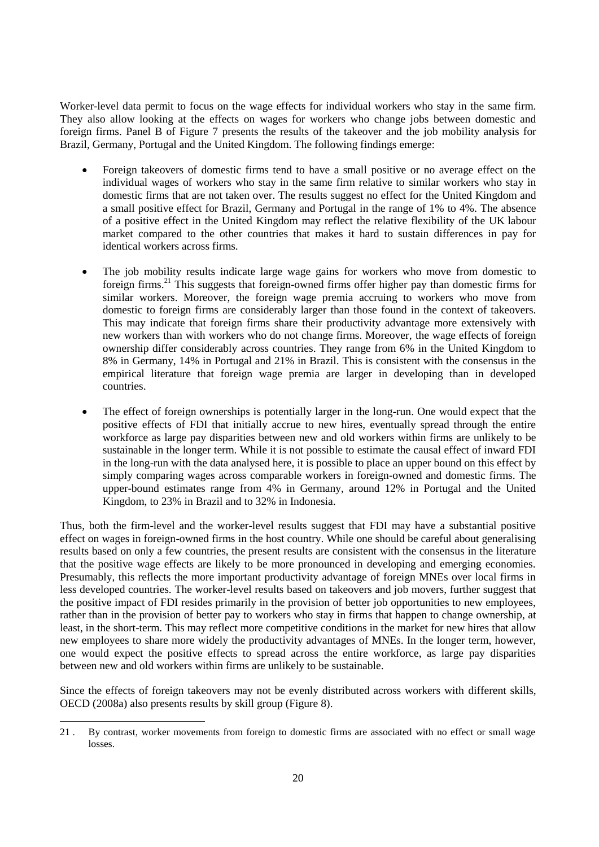Worker-level data permit to focus on the wage effects for individual workers who stay in the same firm. They also allow looking at the effects on wages for workers who change jobs between domestic and foreign firms. Panel B of Figure 7 presents the results of the takeover and the job mobility analysis for Brazil, Germany, Portugal and the United Kingdom. The following findings emerge:

- Foreign takeovers of domestic firms tend to have a small positive or no average effect on the individual wages of workers who stay in the same firm relative to similar workers who stay in domestic firms that are not taken over. The results suggest no effect for the United Kingdom and a small positive effect for Brazil, Germany and Portugal in the range of 1% to 4%. The absence of a positive effect in the United Kingdom may reflect the relative flexibility of the UK labour market compared to the other countries that makes it hard to sustain differences in pay for identical workers across firms.
- The job mobility results indicate large wage gains for workers who move from domestic to foreign firms.<sup>21</sup> This suggests that foreign-owned firms offer higher pay than domestic firms for similar workers. Moreover, the foreign wage premia accruing to workers who move from domestic to foreign firms are considerably larger than those found in the context of takeovers. This may indicate that foreign firms share their productivity advantage more extensively with new workers than with workers who do not change firms. Moreover, the wage effects of foreign ownership differ considerably across countries. They range from 6% in the United Kingdom to 8% in Germany, 14% in Portugal and 21% in Brazil. This is consistent with the consensus in the empirical literature that foreign wage premia are larger in developing than in developed countries.
- The effect of foreign ownerships is potentially larger in the long-run. One would expect that the positive effects of FDI that initially accrue to new hires, eventually spread through the entire workforce as large pay disparities between new and old workers within firms are unlikely to be sustainable in the longer term. While it is not possible to estimate the causal effect of inward FDI in the long-run with the data analysed here, it is possible to place an upper bound on this effect by simply comparing wages across comparable workers in foreign-owned and domestic firms. The upper-bound estimates range from 4% in Germany, around 12% in Portugal and the United Kingdom, to 23% in Brazil and to 32% in Indonesia.

Thus, both the firm-level and the worker-level results suggest that FDI may have a substantial positive effect on wages in foreign-owned firms in the host country. While one should be careful about generalising results based on only a few countries, the present results are consistent with the consensus in the literature that the positive wage effects are likely to be more pronounced in developing and emerging economies. Presumably, this reflects the more important productivity advantage of foreign MNEs over local firms in less developed countries. The worker-level results based on takeovers and job movers, further suggest that the positive impact of FDI resides primarily in the provision of better job opportunities to new employees, rather than in the provision of better pay to workers who stay in firms that happen to change ownership, at least, in the short-term. This may reflect more competitive conditions in the market for new hires that allow new employees to share more widely the productivity advantages of MNEs. In the longer term, however, one would expect the positive effects to spread across the entire workforce, as large pay disparities between new and old workers within firms are unlikely to be sustainable.

Since the effects of foreign takeovers may not be evenly distributed across workers with different skills, OECD (2008a) also presents results by skill group (Figure 8).

l

<sup>21</sup> . By contrast, worker movements from foreign to domestic firms are associated with no effect or small wage losses.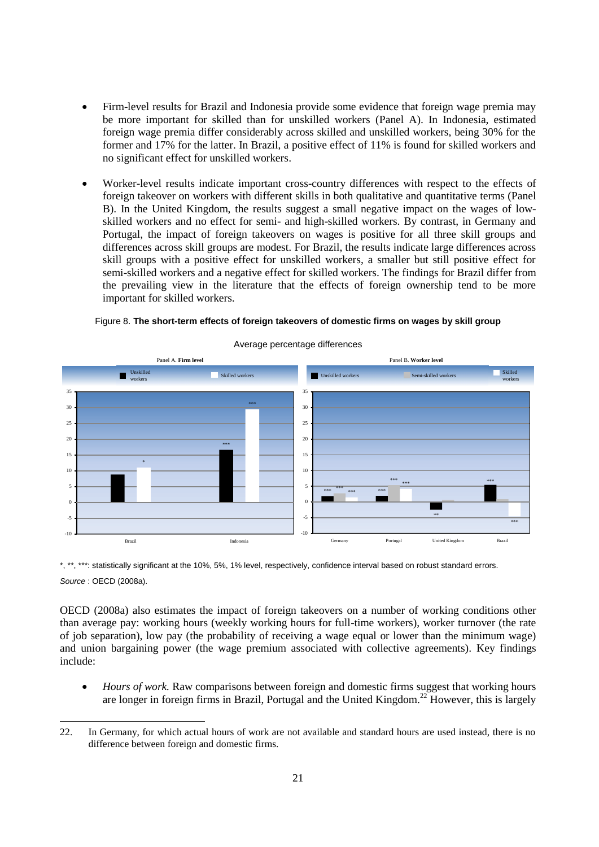- Firm-level results for Brazil and Indonesia provide some evidence that foreign wage premia may be more important for skilled than for unskilled workers (Panel A). In Indonesia, estimated foreign wage premia differ considerably across skilled and unskilled workers, being 30% for the former and 17% for the latter. In Brazil, a positive effect of 11% is found for skilled workers and no significant effect for unskilled workers.
- Worker-level results indicate important cross-country differences with respect to the effects of foreign takeover on workers with different skills in both qualitative and quantitative terms (Panel B). In the United Kingdom, the results suggest a small negative impact on the wages of lowskilled workers and no effect for semi- and high-skilled workers. By contrast, in Germany and Portugal, the impact of foreign takeovers on wages is positive for all three skill groups and differences across skill groups are modest. For Brazil, the results indicate large differences across skill groups with a positive effect for unskilled workers, a smaller but still positive effect for semi-skilled workers and a negative effect for skilled workers. The findings for Brazil differ from the prevailing view in the literature that the effects of foreign ownership tend to be more important for skilled workers.



#### Average percentage differences

Figure 8. **The short-term effects of foreign takeovers of domestic firms on wages by skill group**

\*, \*\*, \*\*\*: statistically significant at the 10%, 5%, 1% level, respectively, confidence interval based on robust standard errors. *Source* : OECD (2008a).

OECD (2008a) also estimates the impact of foreign takeovers on a number of working conditions other than average pay: working hours (weekly working hours for full-time workers), worker turnover (the rate of job separation), low pay (the probability of receiving a wage equal or lower than the minimum wage) and union bargaining power (the wage premium associated with collective agreements). Key findings include:

 *Hours of work.* Raw comparisons between foreign and domestic firms suggest that working hours are longer in foreign firms in Brazil, Portugal and the United Kingdom.<sup>22</sup> However, this is largely

l

<sup>22.</sup> In Germany, for which actual hours of work are not available and standard hours are used instead, there is no difference between foreign and domestic firms.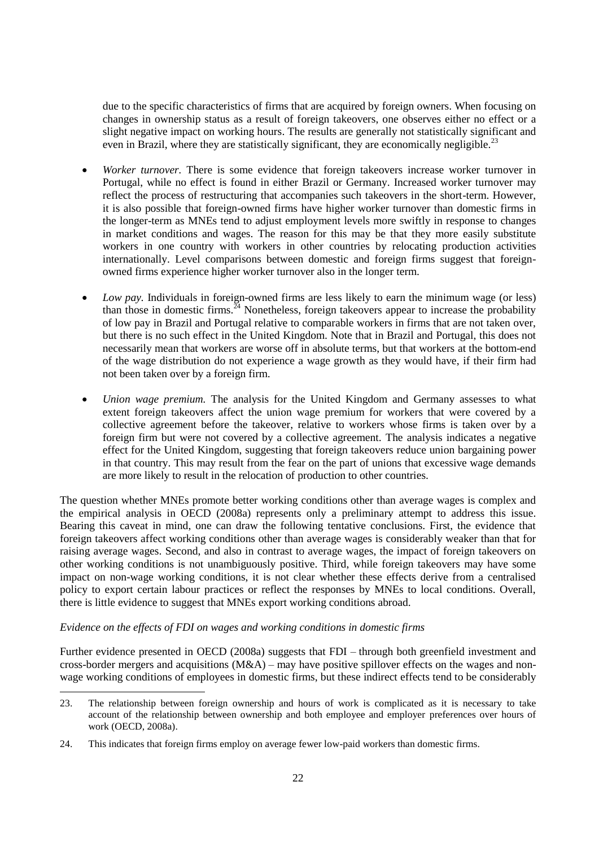due to the specific characteristics of firms that are acquired by foreign owners. When focusing on changes in ownership status as a result of foreign takeovers, one observes either no effect or a slight negative impact on working hours. The results are generally not statistically significant and even in Brazil, where they are statistically significant, they are economically negligible.<sup>23</sup>

- *Worker turnover.* There is some evidence that foreign takeovers increase worker turnover in Portugal, while no effect is found in either Brazil or Germany. Increased worker turnover may reflect the process of restructuring that accompanies such takeovers in the short-term. However, it is also possible that foreign-owned firms have higher worker turnover than domestic firms in the longer-term as MNEs tend to adjust employment levels more swiftly in response to changes in market conditions and wages. The reason for this may be that they more easily substitute workers in one country with workers in other countries by relocating production activities internationally. Level comparisons between domestic and foreign firms suggest that foreignowned firms experience higher worker turnover also in the longer term.
- *Low pay.* Individuals in foreign-owned firms are less likely to earn the minimum wage (or less) than those in domestic firms.<sup> $24$ </sup> Nonetheless, foreign takeovers appear to increase the probability of low pay in Brazil and Portugal relative to comparable workers in firms that are not taken over, but there is no such effect in the United Kingdom. Note that in Brazil and Portugal, this does not necessarily mean that workers are worse off in absolute terms, but that workers at the bottom-end of the wage distribution do not experience a wage growth as they would have, if their firm had not been taken over by a foreign firm.
- *Union wage premium.* The analysis for the United Kingdom and Germany assesses to what extent foreign takeovers affect the union wage premium for workers that were covered by a collective agreement before the takeover, relative to workers whose firms is taken over by a foreign firm but were not covered by a collective agreement. The analysis indicates a negative effect for the United Kingdom, suggesting that foreign takeovers reduce union bargaining power in that country. This may result from the fear on the part of unions that excessive wage demands are more likely to result in the relocation of production to other countries.

The question whether MNEs promote better working conditions other than average wages is complex and the empirical analysis in OECD (2008a) represents only a preliminary attempt to address this issue. Bearing this caveat in mind, one can draw the following tentative conclusions. First, the evidence that foreign takeovers affect working conditions other than average wages is considerably weaker than that for raising average wages. Second, and also in contrast to average wages, the impact of foreign takeovers on other working conditions is not unambiguously positive. Third, while foreign takeovers may have some impact on non-wage working conditions, it is not clear whether these effects derive from a centralised policy to export certain labour practices or reflect the responses by MNEs to local conditions. Overall, there is little evidence to suggest that MNEs export working conditions abroad.

# *Evidence on the effects of FDI on wages and working conditions in domestic firms*

 $\overline{a}$ 

Further evidence presented in OECD (2008a) suggests that FDI – through both greenfield investment and cross-border mergers and acquisitions  $(M&A)$  – may have positive spillover effects on the wages and nonwage working conditions of employees in domestic firms, but these indirect effects tend to be considerably

<sup>23.</sup> The relationship between foreign ownership and hours of work is complicated as it is necessary to take account of the relationship between ownership and both employee and employer preferences over hours of work (OECD, 2008a).

<sup>24.</sup> This indicates that foreign firms employ on average fewer low-paid workers than domestic firms.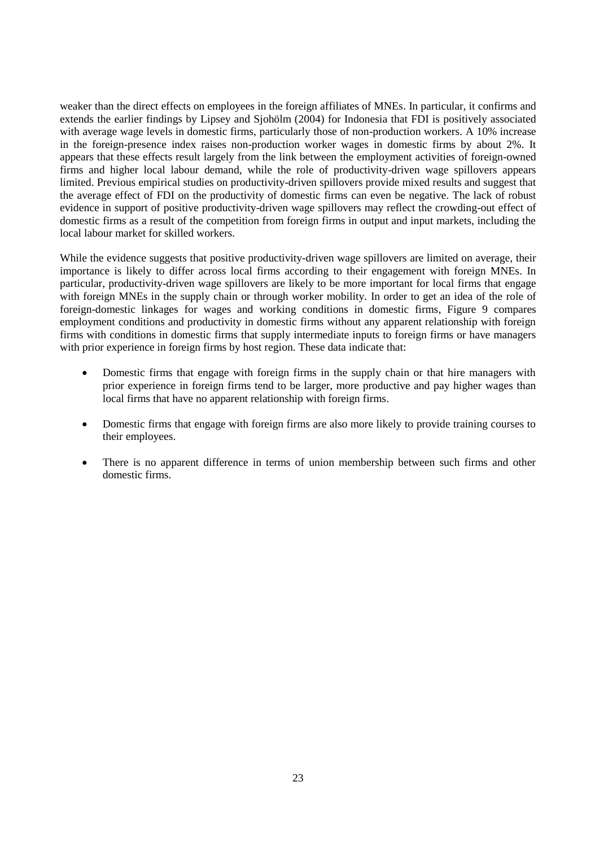weaker than the direct effects on employees in the foreign affiliates of MNEs. In particular, it confirms and extends the earlier findings by Lipsey and Sjohölm (2004) for Indonesia that FDI is positively associated with average wage levels in domestic firms, particularly those of non-production workers. A 10% increase in the foreign-presence index raises non-production worker wages in domestic firms by about 2%. It appears that these effects result largely from the link between the employment activities of foreign-owned firms and higher local labour demand, while the role of productivity-driven wage spillovers appears limited. Previous empirical studies on productivity-driven spillovers provide mixed results and suggest that the average effect of FDI on the productivity of domestic firms can even be negative. The lack of robust evidence in support of positive productivity-driven wage spillovers may reflect the crowding-out effect of domestic firms as a result of the competition from foreign firms in output and input markets, including the local labour market for skilled workers.

While the evidence suggests that positive productivity-driven wage spillovers are limited on average, their importance is likely to differ across local firms according to their engagement with foreign MNEs. In particular, productivity-driven wage spillovers are likely to be more important for local firms that engage with foreign MNEs in the supply chain or through worker mobility. In order to get an idea of the role of foreign-domestic linkages for wages and working conditions in domestic firms, Figure 9 compares employment conditions and productivity in domestic firms without any apparent relationship with foreign firms with conditions in domestic firms that supply intermediate inputs to foreign firms or have managers with prior experience in foreign firms by host region. These data indicate that:

- Domestic firms that engage with foreign firms in the supply chain or that hire managers with prior experience in foreign firms tend to be larger, more productive and pay higher wages than local firms that have no apparent relationship with foreign firms.
- Domestic firms that engage with foreign firms are also more likely to provide training courses to their employees.
- There is no apparent difference in terms of union membership between such firms and other domestic firms.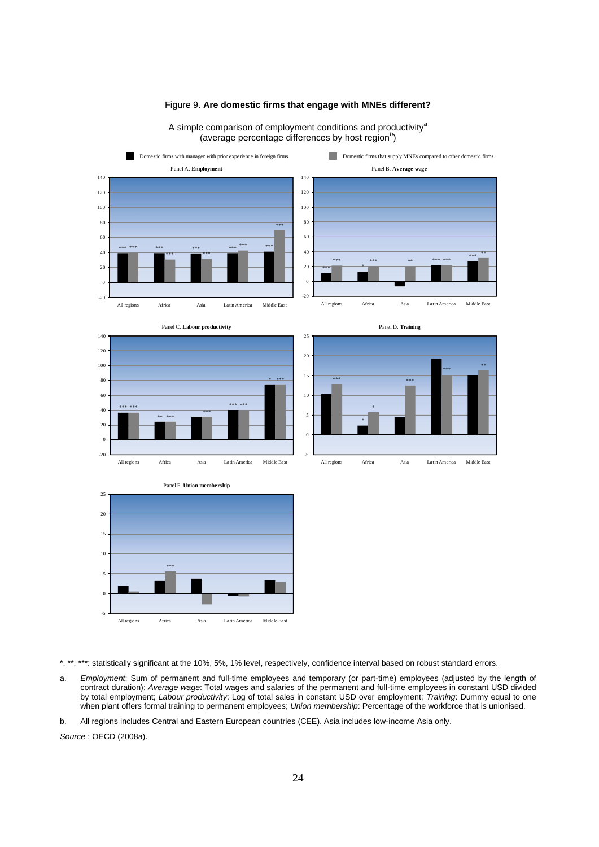

A simple comparison of employment conditions and productivity*<sup>a</sup>* (average percentage differences by host region<sup>b</sup>)



\*, \*\*, \*\*\*: statistically significant at the 10%, 5%, 1% level, respectively, confidence interval based on robust standard errors.

a. *Employment*: Sum of permanent and full-time employees and temporary (or part-time) employees (adjusted by the length of contract duration); *Average wage*: Total wages and salaries of the permanent and full-time employees in constant USD divided by total employment; *Labour productivity*: Log of total sales in constant USD over employment; *Training*: Dummy equal to one when plant offers formal training to permanent employees; *Union membership*: Percentage of the workforce that is unionised.

b. All regions includes Central and Eastern European countries (CEE). Asia includes low-income Asia only.

All regions Africa Asia Latin America Middle East

*Source* : OECD (2008a).

-5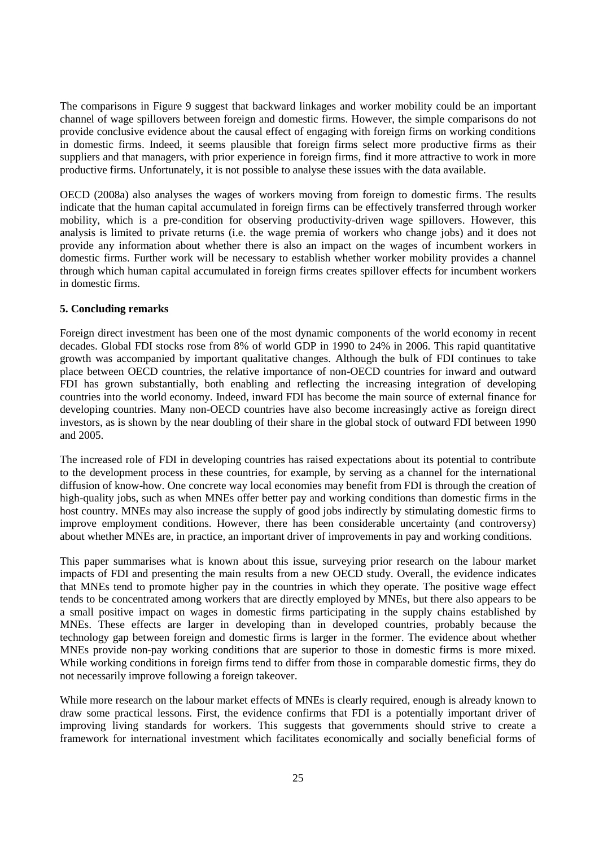The comparisons in Figure 9 suggest that backward linkages and worker mobility could be an important channel of wage spillovers between foreign and domestic firms. However, the simple comparisons do not provide conclusive evidence about the causal effect of engaging with foreign firms on working conditions in domestic firms. Indeed, it seems plausible that foreign firms select more productive firms as their suppliers and that managers, with prior experience in foreign firms, find it more attractive to work in more productive firms. Unfortunately, it is not possible to analyse these issues with the data available.

OECD (2008a) also analyses the wages of workers moving from foreign to domestic firms. The results indicate that the human capital accumulated in foreign firms can be effectively transferred through worker mobility, which is a pre-condition for observing productivity-driven wage spillovers. However, this analysis is limited to private returns (i.e. the wage premia of workers who change jobs) and it does not provide any information about whether there is also an impact on the wages of incumbent workers in domestic firms. Further work will be necessary to establish whether worker mobility provides a channel through which human capital accumulated in foreign firms creates spillover effects for incumbent workers in domestic firms.

#### **5. Concluding remarks**

Foreign direct investment has been one of the most dynamic components of the world economy in recent decades. Global FDI stocks rose from 8% of world GDP in 1990 to 24% in 2006. This rapid quantitative growth was accompanied by important qualitative changes. Although the bulk of FDI continues to take place between OECD countries, the relative importance of non-OECD countries for inward and outward FDI has grown substantially, both enabling and reflecting the increasing integration of developing countries into the world economy. Indeed, inward FDI has become the main source of external finance for developing countries. Many non-OECD countries have also become increasingly active as foreign direct investors, as is shown by the near doubling of their share in the global stock of outward FDI between 1990 and 2005.

The increased role of FDI in developing countries has raised expectations about its potential to contribute to the development process in these countries, for example, by serving as a channel for the international diffusion of know-how. One concrete way local economies may benefit from FDI is through the creation of high-quality jobs, such as when MNEs offer better pay and working conditions than domestic firms in the host country. MNEs may also increase the supply of good jobs indirectly by stimulating domestic firms to improve employment conditions. However, there has been considerable uncertainty (and controversy) about whether MNEs are, in practice, an important driver of improvements in pay and working conditions.

This paper summarises what is known about this issue, surveying prior research on the labour market impacts of FDI and presenting the main results from a new OECD study. Overall, the evidence indicates that MNEs tend to promote higher pay in the countries in which they operate. The positive wage effect tends to be concentrated among workers that are directly employed by MNEs, but there also appears to be a small positive impact on wages in domestic firms participating in the supply chains established by MNEs. These effects are larger in developing than in developed countries, probably because the technology gap between foreign and domestic firms is larger in the former. The evidence about whether MNEs provide non-pay working conditions that are superior to those in domestic firms is more mixed. While working conditions in foreign firms tend to differ from those in comparable domestic firms, they do not necessarily improve following a foreign takeover.

While more research on the labour market effects of MNEs is clearly required, enough is already known to draw some practical lessons. First, the evidence confirms that FDI is a potentially important driver of improving living standards for workers. This suggests that governments should strive to create a framework for international investment which facilitates economically and socially beneficial forms of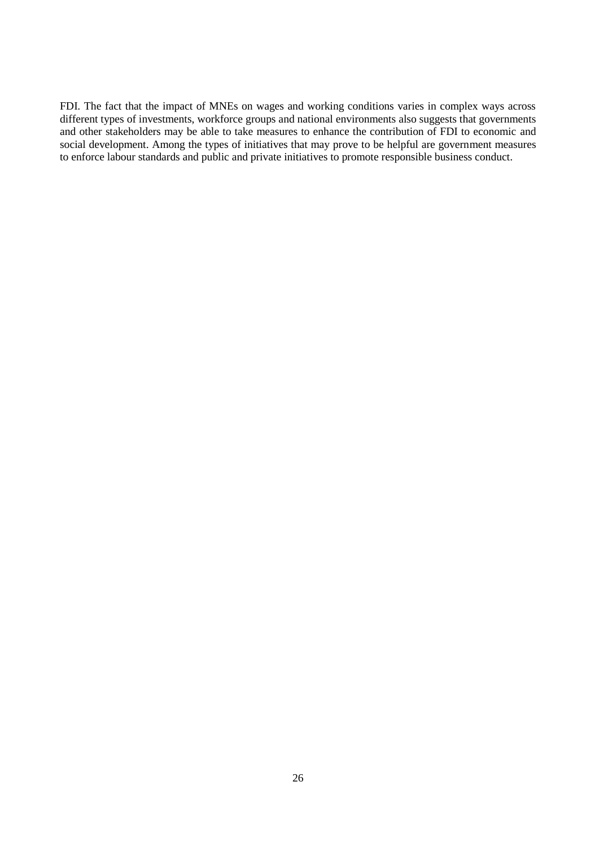FDI. The fact that the impact of MNEs on wages and working conditions varies in complex ways across different types of investments, workforce groups and national environments also suggests that governments and other stakeholders may be able to take measures to enhance the contribution of FDI to economic and social development. Among the types of initiatives that may prove to be helpful are government measures to enforce labour standards and public and private initiatives to promote responsible business conduct.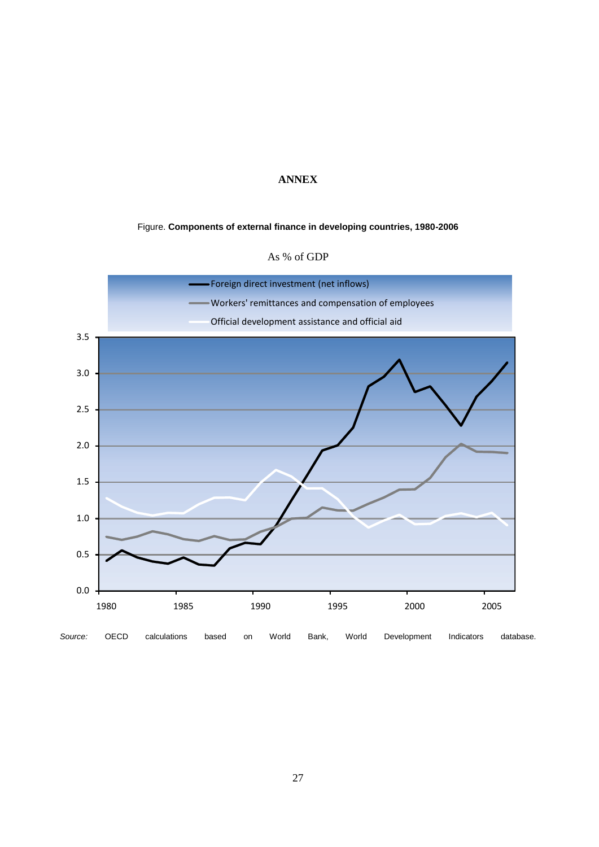# **ANNEX**

#### Figure. **Components of external finance in developing countries, 1980-2006**

# As % of GDP

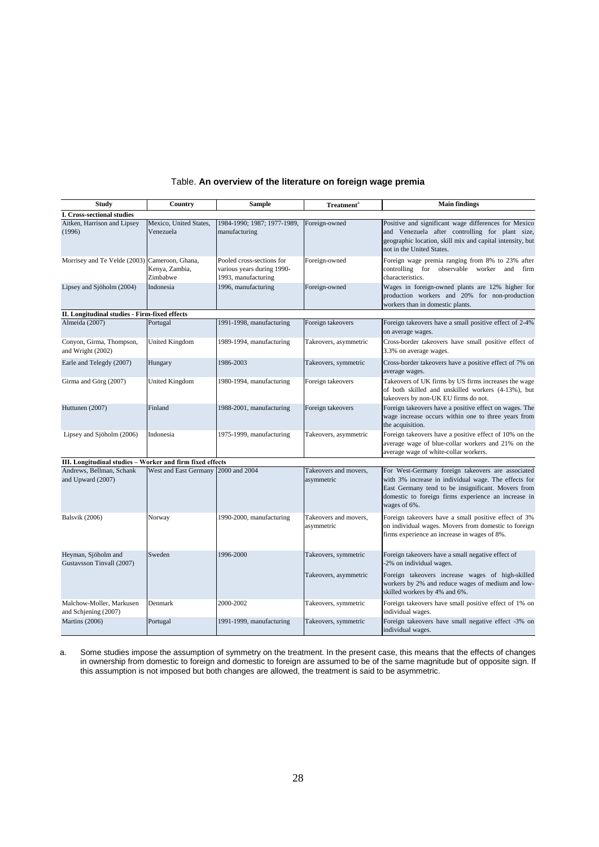| <b>Study</b>                                              | Country                             | <b>Sample</b>                                                                  | Treatment <sup>a</sup>                        | <b>Main findings</b>                                                                                                                                                                                                                   |  |  |
|-----------------------------------------------------------|-------------------------------------|--------------------------------------------------------------------------------|-----------------------------------------------|----------------------------------------------------------------------------------------------------------------------------------------------------------------------------------------------------------------------------------------|--|--|
| <b>I. Cross-sectional studies</b>                         |                                     |                                                                                |                                               |                                                                                                                                                                                                                                        |  |  |
| Aitken, Harrison and Lipsey<br>(1996)                     | Mexico, United States,<br>Venezuela | 1984-1990; 1987; 1977-1989,<br>manufacturing                                   | Foreign-owned                                 | Positive and significant wage differences for Mexico<br>and Venezuela after controlling for plant size,<br>geographic location, skill mix and capital intensity, but<br>not in the United States.                                      |  |  |
| Morrisey and Te Velde (2003) Cameroon, Ghana,             | Kenya, Zambia,<br>Zimbabwe          | Pooled cross-sections for<br>various years during 1990-<br>1993, manufacturing | Foreign-owned                                 | Foreign wage premia ranging from 8% to 23% after<br>controlling for observable worker<br>and<br>firm<br>characteristics.                                                                                                               |  |  |
| Lipsey and Sjöholm (2004)                                 | Indonesia                           | 1996, manufacturing                                                            | Foreign-owned                                 | Wages in foreign-owned plants are 12% higher for<br>production workers and 20% for non-production<br>workers than in domestic plants.                                                                                                  |  |  |
| II. Longitudinal studies - Firm-fixed effects             |                                     |                                                                                |                                               |                                                                                                                                                                                                                                        |  |  |
| Almeida (2007)                                            | Portugal                            | 1991-1998, manufacturing                                                       | Foreign takeovers                             | Foreign takeovers have a small positive effect of 2-4%<br>on average wages.                                                                                                                                                            |  |  |
| Conyon, Girma, Thompson,<br>and Wright (2002)             | United Kingdom                      | 1989-1994, manufacturing                                                       | Takeovers, asymmetric                         | Cross-border takeovers have small positive effect of<br>3.3% on average wages.                                                                                                                                                         |  |  |
| Earle and Telegdy (2007)                                  | Hungary                             | 1986-2003                                                                      | Takeovers, symmetric                          | Cross-border takeovers have a positive effect of 7% on<br>average wages.                                                                                                                                                               |  |  |
| Girma and Görg (2007)                                     | United Kingdom                      | 1980-1994, manufacturing                                                       | Foreign takeovers                             | Takeovers of UK firms by US firms increases the wage<br>of both skilled and unskilled workers (4-13%), but<br>takeovers by non-UK EU firms do not.                                                                                     |  |  |
| Huttunen (2007)                                           | Finland                             | 1988-2001, manufacturing                                                       | Foreign takeovers                             | Foreign takeovers have a positive effect on wages. The<br>wage increase occurs within one to three years from<br>the acquisition.                                                                                                      |  |  |
| Lipsey and Sjöholm (2006)                                 | Indonesia                           | 1975-1999, manufacturing                                                       | Takeovers, asymmetric                         | Foreign takeovers have a positive effect of 10% on the<br>average wage of blue-collar workers and 21% on the<br>average wage of white-collar workers.                                                                                  |  |  |
| III. Longitudinal studies - Worker and firm fixed effects |                                     |                                                                                |                                               |                                                                                                                                                                                                                                        |  |  |
| Andrews, Bellman, Schank<br>and Upward (2007)             | West and East Germany               | 2000 and 2004                                                                  | Takeovers and movers,<br>asymmetric           | For West-Germany foreign takeovers are associated<br>with 3% increase in individual wage. The effects for<br>East Germany tend to be insignificant. Movers from<br>domestic to foreign firms experience an increase in<br>wages of 6%. |  |  |
| Balsvik (2006)                                            | Norway                              | 1990-2000, manufacturing                                                       | Takeovers and movers,<br>asymmetric           | Foreign takeovers have a small positive effect of 3%<br>on individual wages. Movers from domestic to foreign<br>firms experience an increase in wages of 8%.                                                                           |  |  |
| Heyman, Sjöholm and<br>Gustavsson Tinvall (2007)          | Sweden                              | 1996-2000                                                                      | Takeovers, symmetric<br>Takeovers, asymmetric | Foreign takeovers have a small negative effect of<br>-2% on individual wages.<br>Foreign takeovers increase wages of high-skilled<br>workers by 2% and reduce wages of medium and low-<br>skilled workers by 4% and 6%.                |  |  |
| Malchow-Moller, Markusen<br>and Schjening (2007)          | Denmark                             | 2000-2002                                                                      | Takeovers, symmetric                          | Foreign takeovers have small positive effect of 1% on<br>individual wages.                                                                                                                                                             |  |  |
| Martins (2006)                                            | Portugal                            | 1991-1999, manufacturing                                                       | Takeovers, symmetric                          | Foreign takeovers have small negative effect -3% on<br>individual wages.                                                                                                                                                               |  |  |

#### Table. **An overview of the literature on foreign wage premia**

a. Some studies impose the assumption of symmetry on the treatment. In the present case, this means that the effects of changes in ownership from domestic to foreign and domestic to foreign are assumed to be of the same magnitude but of opposite sign. If this assumption is not imposed but both changes are allowed, the treatment is said to be asymmetric.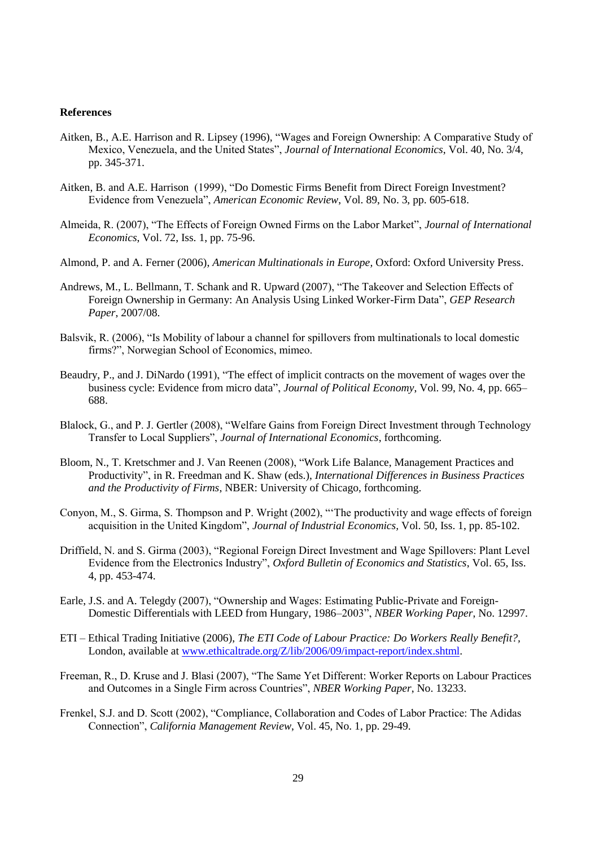#### **References**

- Aitken, B., A.E. Harrison and R. Lipsey (1996), "Wages and Foreign Ownership: A Comparative Study of Mexico, Venezuela, and the United States", *Journal of International Economics*, Vol. 40, No. 3/4, pp. 345-371.
- Aitken, B. and A.E. Harrison (1999), "Do Domestic Firms Benefit from Direct Foreign Investment? Evidence from Venezuela", *American Economic Review*, Vol. 89, No. 3, pp. 605-618.
- Almeida, R. (2007), "The Effects of Foreign Owned Firms on the Labor Market", *Journal of International Economics*, Vol. 72, Iss. 1, pp. 75-96.
- Almond, P. and A. Ferner (2006), *American Multinationals in Europe,* Oxford: Oxford University Press.
- Andrews, M., L. Bellmann, T. Schank and R. Upward (2007), "The Takeover and Selection Effects of Foreign Ownership in Germany: An Analysis Using Linked Worker-Firm Data", *GEP Research Paper*, 2007/08.
- Balsvik, R. (2006), "Is Mobility of labour a channel for spillovers from multinationals to local domestic firms?", Norwegian School of Economics, mimeo.
- Beaudry, P., and J. DiNardo (1991), "The effect of implicit contracts on the movement of wages over the business cycle: Evidence from micro data", *Journal of Political Economy*, Vol. 99, No. 4, pp. 665– 688.
- Blalock, G., and P. J. Gertler (2008), "Welfare Gains from Foreign Direct Investment through Technology Transfer to Local Suppliers", *Journal of International Economics*, forthcoming.
- Bloom, N., T. Kretschmer and J. Van Reenen (2008), "Work Life Balance, Management Practices and Productivity", in R. Freedman and K. Shaw (eds.), *International Differences in Business Practices and the Productivity of Firms*, NBER: University of Chicago, forthcoming.
- Conyon, M., S. Girma, S. Thompson and P. Wright (2002), ""The productivity and wage effects of foreign acquisition in the United Kingdom", *Journal of Industrial Economics,* Vol. 50, Iss. 1, pp. 85-102.
- Driffield, N. and S. Girma (2003), "Regional Foreign Direct Investment and Wage Spillovers: Plant Level Evidence from the Electronics Industry", *Oxford Bulletin of Economics and Statistics*, Vol. 65, Iss. 4, pp. 453-474.
- Earle, J.S. and A. Telegdy (2007), "Ownership and Wages: Estimating Public-Private and Foreign-Domestic Differentials with LEED from Hungary, 1986–2003", *NBER Working Paper*, No. 12997.
- ETI Ethical Trading Initiative (2006), *The ETI Code of Labour Practice: Do Workers Really Benefit?,*  London, available at [www.ethicaltrade.org/Z/lib/2006/09/impact-report/index.shtml.](http://www.ethicaltrade.org/Z/lib/2006/09/impact-report/index.shtml)
- Freeman, R., D. Kruse and J. Blasi (2007), "The Same Yet Different: Worker Reports on Labour Practices and Outcomes in a Single Firm across Countries", *NBER Working Paper*, No. 13233.
- Frenkel, S.J. and D. Scott (2002), "Compliance, Collaboration and Codes of Labor Practice: The Adidas Connection", *California Management Review*, Vol. 45, No. 1, pp. 29-49.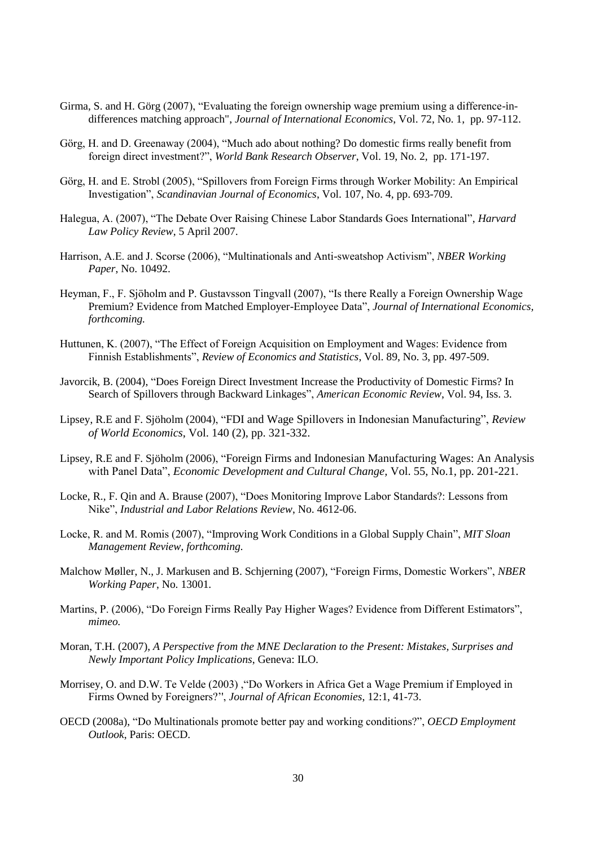- Girma, S. and H. Görg (2007), "Evaluating the foreign ownership wage premium using a difference-indifferences matching approach", *Journal of International Economics*, Vol. 72, No. 1, pp. 97-112.
- Görg, H. and D. Greenaway (2004), "Much ado about nothing? Do domestic firms really benefit from foreign direct investment?", *World Bank Research Observer*, Vol. 19, No. 2, pp. 171-197.
- Görg, H. and E. Strobl (2005), "Spillovers from Foreign Firms through Worker Mobility: An Empirical Investigation", *Scandinavian Journal of Economics*, Vol. 107, No. 4, pp. 693-709.
- Halegua, A. (2007), "The Debate Over Raising Chinese Labor Standards Goes International", *Harvard Law Policy Review*, 5 April 2007.
- Harrison, A.E. and J. Scorse (2006), "Multinationals and Anti-sweatshop Activism", *NBER Working Paper*, No. 10492.
- Heyman, F., F. Sjöholm and P. Gustavsson Tingvall (2007), "Is there Really a Foreign Ownership Wage Premium? Evidence from Matched Employer-Employee Data", *Journal of International Economics, forthcoming.*
- Huttunen, K. (2007), "The Effect of Foreign Acquisition on Employment and Wages: Evidence from Finnish Establishments", *Review of Economics and Statistics*, Vol. 89, No. 3, pp. 497-509.
- Javorcik, B. (2004), ["Does Foreign Direct Investment Increase the Productivity of Domestic Firms? In](http://www.economics.ox.ac.uk/members/beata.javorcik/Linkages.pdf)  [Search of Spillovers through Backward Linkages"](http://www.economics.ox.ac.uk/members/beata.javorcik/Linkages.pdf), *American Economic Review*, Vol. 94, Iss. 3.
- Lipsey, R.E and F. Sjöholm (2004), "FDI and Wage Spillovers in Indonesian Manufacturing", *Review of World Economics*, Vol. 140 (2), pp. 321-332.
- Lipsey, R.E and F. Sjöholm (2006), "Foreign Firms and Indonesian Manufacturing Wages: An Analysis with Panel Data", *Economic Development and Cultural Change,* Vol. 55, No.1, pp. 201-221.
- Locke, R., F. Qin and A. Brause (2007), "Does Monitoring Improve Labor Standards?: Lessons from Nike", *Industrial and Labor Relations Review*, No. 4612-06.
- Locke, R. and M. Romis (2007), ["Improving Work Conditions in a Global Supply Chain"](http://sloanreview.mit.edu/smr/issue/2007/winter/12/), *MIT Sloan Management Review, forthcoming.*
- Malchow Møller, N., J. Markusen and B. Schjerning (2007), "Foreign Firms, Domestic Workers", *NBER Working Paper*, No. 13001.
- Martins, P. (2006), "Do Foreign Firms Really Pay Higher Wages? Evidence from Different Estimators", *mimeo.*
- Moran, T.H. (2007), *A Perspective from the MNE Declaration to the Present: Mistakes, Surprises and Newly Important Policy Implications*, Geneva: ILO.
- Morrisey, O. and D.W. Te Velde (2003) ,"Do Workers in Africa Get a Wage Premium if Employed in Firms Owned by Foreigners?"', *Journal of African Economies*, 12:1, 41-73.
- OECD (2008a), "Do Multinationals promote better pay and working conditions?", *OECD Employment Outlook*, Paris: OECD.